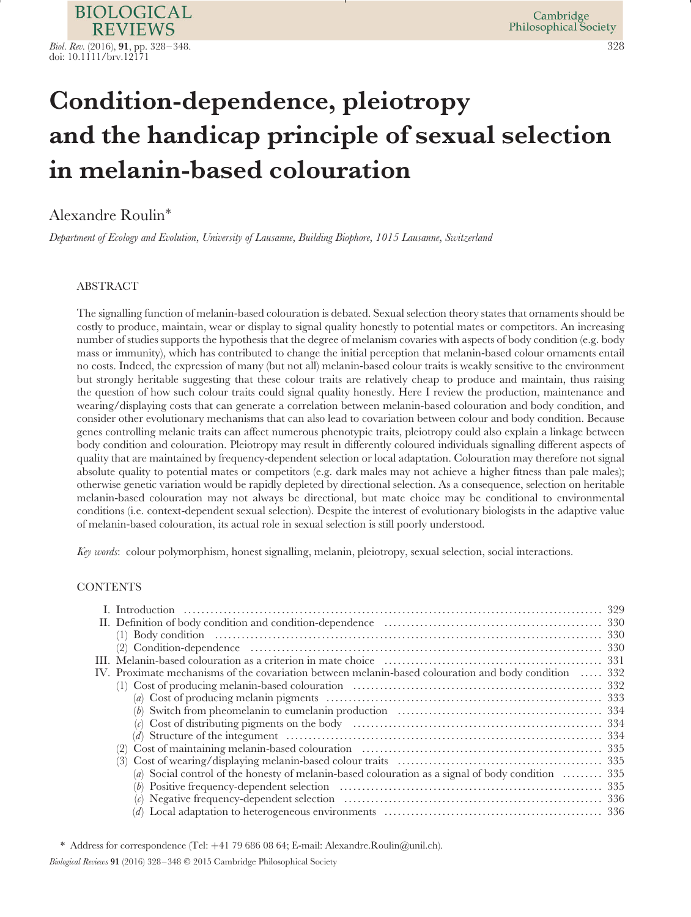

# **Condition-dependence, pleiotropy and the handicap principle of sexual selection in melanin-based colouration**

# Alexandre Roulin∗

*Department of Ecology and Evolution, University of Lausanne, Building Biophore, 1015 Lausanne, Switzerland*

# ABSTRACT

The signalling function of melanin-based colouration is debated. Sexual selection theory states that ornaments should be costly to produce, maintain, wear or display to signal quality honestly to potential mates or competitors. An increasing number of studies supports the hypothesis that the degree of melanism covaries with aspects of body condition (e.g. body mass or immunity), which has contributed to change the initial perception that melanin-based colour ornaments entail no costs. Indeed, the expression of many (but not all) melanin-based colour traits is weakly sensitive to the environment but strongly heritable suggesting that these colour traits are relatively cheap to produce and maintain, thus raising the question of how such colour traits could signal quality honestly. Here I review the production, maintenance and wearing/displaying costs that can generate a correlation between melanin-based colouration and body condition, and consider other evolutionary mechanisms that can also lead to covariation between colour and body condition. Because genes controlling melanic traits can affect numerous phenotypic traits, pleiotropy could also explain a linkage between body condition and colouration. Pleiotropy may result in differently coloured individuals signalling different aspects of quality that are maintained by frequency-dependent selection or local adaptation. Colouration may therefore not signal absolute quality to potential mates or competitors (e.g. dark males may not achieve a higher fitness than pale males); otherwise genetic variation would be rapidly depleted by directional selection. As a consequence, selection on heritable melanin-based colouration may not always be directional, but mate choice may be conditional to environmental conditions (i.e. context-dependent sexual selection). Despite the interest of evolutionary biologists in the adaptive value of melanin-based colouration, its actual role in sexual selection is still poorly understood.

*Key words*: colour polymorphism, honest signalling, melanin, pleiotropy, sexual selection, social interactions.

# **CONTENTS**

| IV. Proximate mechanisms of the covariation between melanin-based colouration and body condition  332                                     |  |
|-------------------------------------------------------------------------------------------------------------------------------------------|--|
| $(1)$ Cost of producing melanin-based colouration $\dots\dots\dots\dots\dots\dots\dots\dots\dots\dots\dots\dots\dots\dots\dots\dots\dots$ |  |
|                                                                                                                                           |  |
| (b) Switch from pheomelanin to eumelanin production $\dots\dots\dots\dots\dots\dots\dots\dots\dots\dots\dots\dots\dots\dots$ 334          |  |
|                                                                                                                                           |  |
|                                                                                                                                           |  |
| (2)                                                                                                                                       |  |
| (3)                                                                                                                                       |  |
| (a) Social control of the honesty of melanin-based colouration as a signal of body condition $\dots$ 335                                  |  |
|                                                                                                                                           |  |
|                                                                                                                                           |  |
| (d) Local adaptation to heterogeneous environments $\dots\dots\dots\dots\dots\dots\dots\dots\dots\dots\dots\dots\dots\dots\dots$          |  |

\* Address for correspondence (Tel: +41 79 686 08 64; E-mail: Alexandre.Roulin@unil.ch).

*Biological Reviews* **91** (2016) 328–348 © 2015 Cambridge Philosophical Society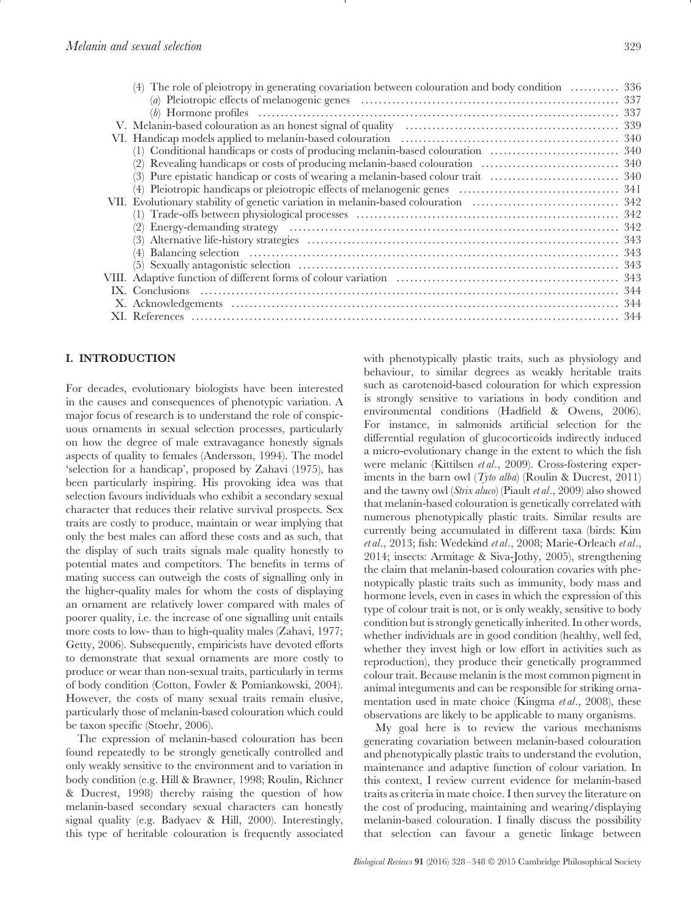| (4) The role of pleiotropy in generating covariation between colouration and body condition  336 |  |
|--------------------------------------------------------------------------------------------------|--|
|                                                                                                  |  |
|                                                                                                  |  |
|                                                                                                  |  |
|                                                                                                  |  |
|                                                                                                  |  |
|                                                                                                  |  |
|                                                                                                  |  |
|                                                                                                  |  |
|                                                                                                  |  |
|                                                                                                  |  |
|                                                                                                  |  |
|                                                                                                  |  |
| (4)                                                                                              |  |
|                                                                                                  |  |
|                                                                                                  |  |
|                                                                                                  |  |
|                                                                                                  |  |
|                                                                                                  |  |
|                                                                                                  |  |

# **I. INTRODUCTION**

For decades, evolutionary biologists have been interested in the causes and consequences of phenotypic variation. A major focus of research is to understand the role of conspicuous ornaments in sexual selection processes, particularly on how the degree of male extravagance honestly signals aspects of quality to females (Andersson, 1994). The model 'selection for a handicap', proposed by Zahavi (1975), has been particularly inspiring. His provoking idea was that selection favours individuals who exhibit a secondary sexual character that reduces their relative survival prospects. Sex traits are costly to produce, maintain or wear implying that only the best males can afford these costs and as such, that the display of such traits signals male quality honestly to potential mates and competitors. The benefits in terms of mating success can outweigh the costs of signalling only in the higher-quality males for whom the costs of displaying an ornament are relatively lower compared with males of poorer quality, i.e. the increase of one signalling unit entails more costs to low- than to high-quality males (Zahavi, 1977; Getty, 2006). Subsequently, empiricists have devoted efforts to demonstrate that sexual ornaments are more costly to produce or wear than non-sexual traits, particularly in terms of body condition (Cotton, Fowler & Pomiankowski, 2004). However, the costs of many sexual traits remain elusive, particularly those of melanin-based colouration which could be taxon specific (Stoehr, 2006).

The expression of melanin-based colouration has been found repeatedly to be strongly genetically controlled and only weakly sensitive to the environment and to variation in body condition (e.g. Hill & Brawner, 1998; Roulin, Richner & Ducrest, 1998) thereby raising the question of how melanin-based secondary sexual characters can honestly signal quality (e.g. Badyaev & Hill, 2000). Interestingly, this type of heritable colouration is frequently associated with phenotypically plastic traits, such as physiology and behaviour, to similar degrees as weakly heritable traits such as carotenoid-based colouration for which expression is strongly sensitive to variations in body condition and environmental conditions (Hadfield & Owens, 2006). For instance, in salmonids artificial selection for the differential regulation of glucocorticoids indirectly induced a micro-evolutionary change in the extent to which the fish were melanic (Kittilsen *et al*., 2009). Cross-fostering experiments in the barn owl (*Tyto alba*) (Roulin & Ducrest, 2011) and the tawny owl (*Strix aluco*) (Piault *et al*., 2009) also showed that melanin-based colouration is genetically correlated with numerous phenotypically plastic traits. Similar results are currently being accumulated in different taxa (birds: Kim *et al*., 2013; fish: Wedekind *et al*., 2008; Marie-Orleach *et al*., 2014; insects: Armitage & Siva-Jothy, 2005), strengthening the claim that melanin-based colouration covaries with phenotypically plastic traits such as immunity, body mass and hormone levels, even in cases in which the expression of this type of colour trait is not, or is only weakly, sensitive to body condition but is strongly genetically inherited. In other words, whether individuals are in good condition (healthy, well fed, whether they invest high or low effort in activities such as reproduction), they produce their genetically programmed colour trait. Because melanin is the most common pigment in animal integuments and can be responsible for striking ornamentation used in mate choice (Kingma *et al*., 2008), these observations are likely to be applicable to many organisms.

My goal here is to review the various mechanisms generating covariation between melanin-based colouration and phenotypically plastic traits to understand the evolution, maintenance and adaptive function of colour variation. In this context, I review current evidence for melanin-based traits as criteria in mate choice. I then survey the literature on the cost of producing, maintaining and wearing/displaying melanin-based colouration. I finally discuss the possibility that selection can favour a genetic linkage between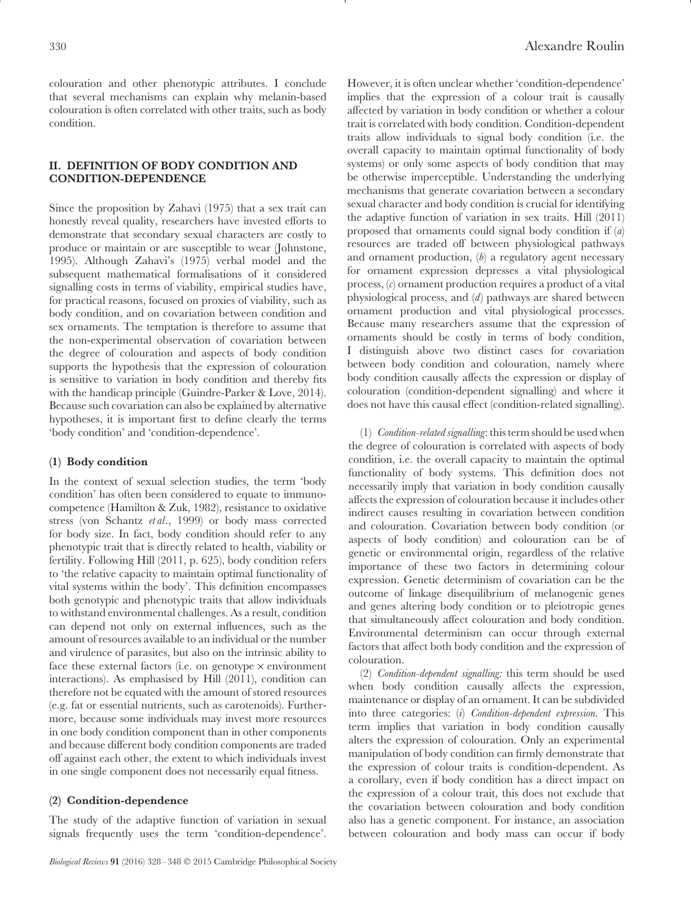colouration and other phenotypic attributes. I conclude that several mechanisms can explain why melanin-based colouration is often correlated with other traits, such as body condition.

# **II. DEFINITION OF BODY CONDITION AND CONDITION-DEPENDENCE**

Since the proposition by Zahavi (1975) that a sex trait can honestly reveal quality, researchers have invested efforts to demonstrate that secondary sexual characters are costly to produce or maintain or are susceptible to wear (Johnstone, 1995). Although Zahavi's (1975) verbal model and the subsequent mathematical formalisations of it considered signalling costs in terms of viability, empirical studies have, for practical reasons, focused on proxies of viability, such as body condition, and on covariation between condition and sex ornaments. The temptation is therefore to assume that the non-experimental observation of covariation between the degree of colouration and aspects of body condition supports the hypothesis that the expression of colouration is sensitive to variation in body condition and thereby fits with the handicap principle (Guindre-Parker & Love, 2014). Because such covariation can also be explained by alternative hypotheses, it is important first to define clearly the terms 'body condition' and 'condition-dependence'.

# **(1) Body condition**

In the context of sexual selection studies, the term 'body condition' has often been considered to equate to immunocompetence (Hamilton & Zuk, 1982), resistance to oxidative stress (von Schantz *et al*., 1999) or body mass corrected for body size. In fact, body condition should refer to any phenotypic trait that is directly related to health, viability or fertility. Following Hill (2011, p. 625), body condition refers to 'the relative capacity to maintain optimal functionality of vital systems within the body'. This definition encompasses both genotypic and phenotypic traits that allow individuals to withstand environmental challenges. As a result, condition can depend not only on external influences, such as the amount of resources available to an individual or the number and virulence of parasites, but also on the intrinsic ability to face these external factors (i.e. on genotype  $\times$  environment interactions). As emphasised by Hill (2011), condition can therefore not be equated with the amount of stored resources (e.g. fat or essential nutrients, such as carotenoids). Furthermore, because some individuals may invest more resources in one body condition component than in other components and because different body condition components are traded off against each other, the extent to which individuals invest in one single component does not necessarily equal fitness.

#### **(2) Condition-dependence**

The study of the adaptive function of variation in sexual signals frequently uses the term 'condition-dependence'. However, it is often unclear whether 'condition-dependence' implies that the expression of a colour trait is causally affected by variation in body condition or whether a colour trait is correlated with body condition. Condition-dependent traits allow individuals to signal body condition (i.e. the overall capacity to maintain optimal functionality of body systems) or only some aspects of body condition that may be otherwise imperceptible. Understanding the underlying mechanisms that generate covariation between a secondary sexual character and body condition is crucial for identifying the adaptive function of variation in sex traits. Hill (2011) proposed that ornaments could signal body condition if (*a*) resources are traded off between physiological pathways and ornament production, (*b*) a regulatory agent necessary for ornament expression depresses a vital physiological process, (*c*) ornament production requires a product of a vital physiological process, and (*d*) pathways are shared between ornament production and vital physiological processes. Because many researchers assume that the expression of ornaments should be costly in terms of body condition, I distinguish above two distinct cases for covariation between body condition and colouration, namely where body condition causally affects the expression or display of colouration (condition-dependent signalling) and where it does not have this causal effect (condition-related signalling).

(1) *Condition-related signalling*: this term should be used when the degree of colouration is correlated with aspects of body condition, i.e. the overall capacity to maintain the optimal functionality of body systems. This definition does not necessarily imply that variation in body condition causally affects the expression of colouration because it includes other indirect causes resulting in covariation between condition and colouration. Covariation between body condition (or aspects of body condition) and colouration can be of genetic or environmental origin, regardless of the relative importance of these two factors in determining colour expression. Genetic determinism of covariation can be the outcome of linkage disequilibrium of melanogenic genes and genes altering body condition or to pleiotropic genes that simultaneously affect colouration and body condition. Environmental determinism can occur through external factors that affect both body condition and the expression of colouration.

(2) *Condition-dependent signalling:* this term should be used when body condition causally affects the expression, maintenance or display of an ornament. It can be subdivided into three categories: (*i*) *Condition-dependent expression*. This term implies that variation in body condition causally alters the expression of colouration. Only an experimental manipulation of body condition can firmly demonstrate that the expression of colour traits is condition-dependent. As a corollary, even if body condition has a direct impact on the expression of a colour trait, this does not exclude that the covariation between colouration and body condition also has a genetic component. For instance, an association between colouration and body mass can occur if body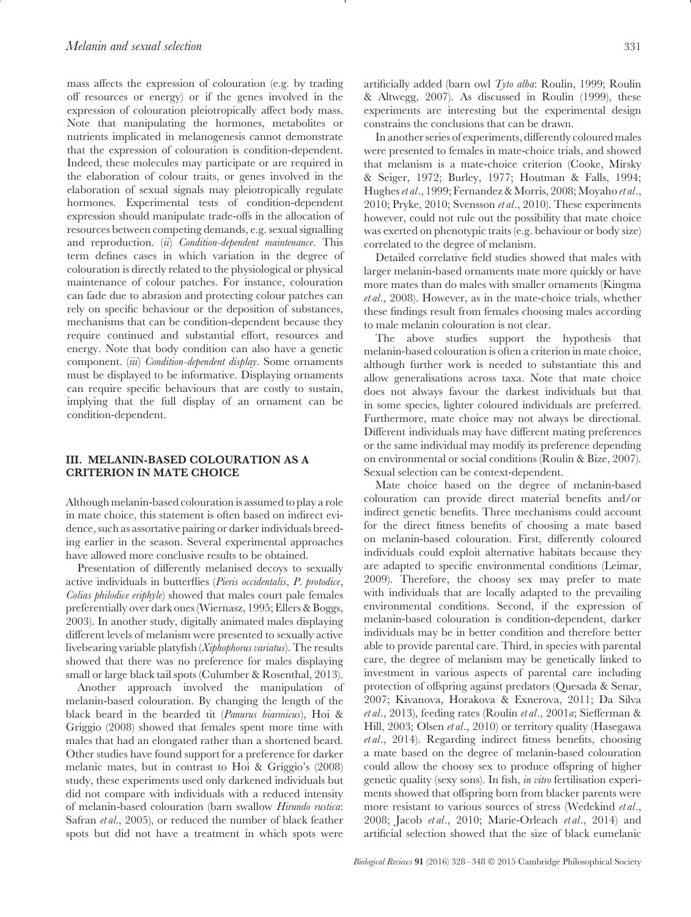mass affects the expression of colouration (e.g. by trading off resources or energy) or if the genes involved in the expression of colouration pleiotropically affect body mass. Note that manipulating the hormones, metabolites or nutrients implicated in melanogenesis cannot demonstrate that the expression of colouration is condition-dependent. Indeed, these molecules may participate or are required in the elaboration of colour traits, or genes involved in the elaboration of sexual signals may pleiotropically regulate hormones. Experimental tests of condition-dependent expression should manipulate trade-offs in the allocation of resources between competing demands, e.g. sexual signalling and reproduction. (*ii*) *Condition-dependent maintenance*. This term defines cases in which variation in the degree of colouration is directly related to the physiological or physical maintenance of colour patches. For instance, colouration can fade due to abrasion and protecting colour patches can rely on specific behaviour or the deposition of substances, mechanisms that can be condition-dependent because they require continued and substantial effort, resources and energy. Note that body condition can also have a genetic component. (*iii*) *Condition-dependent display*. Some ornaments must be displayed to be informative. Displaying ornaments can require specific behaviours that are costly to sustain, implying that the full display of an ornament can be condition-dependent.

# **III. MELANIN-BASED COLOURATION AS A CRITERION IN MATE CHOICE**

Although melanin-based colouration is assumed to play a role in mate choice, this statement is often based on indirect evidence, such as assortative pairing or darker individuals breeding earlier in the season. Several experimental approaches have allowed more conclusive results to be obtained.

Presentation of differently melanised decoys to sexually active individuals in butterflies (*Pieris occidentalis*, *P. protodice*, *Colias philodice eriphyle*) showed that males court pale females preferentially over dark ones (Wiernasz, 1995; Ellers & Boggs, 2003). In another study, digitally animated males displaying different levels of melanism were presented to sexually active livebearing variable platyfish (*Xiphophorus variatus*). The results showed that there was no preference for males displaying small or large black tail spots (Culumber & Rosenthal, 2013).

Another approach involved the manipulation of melanin-based colouration. By changing the length of the black beard in the bearded tit (*Panurus biarmicus*), Hoi & Griggio (2008) showed that females spent more time with males that had an elongated rather than a shortened beard. Other studies have found support for a preference for darker melanic mates, but in contrast to Hoi & Griggio's (2008) study, these experiments used only darkened individuals but did not compare with individuals with a reduced intensity of melanin-based colouration (barn swallow *Hirundo rustica*: Safran *et al.*, 2005), or reduced the number of black feather spots but did not have a treatment in which spots were

artificially added (barn owl *Tyto alba*: Roulin, 1999; Roulin & Altwegg, 2007). As discussed in Roulin (1999), these experiments are interesting but the experimental design constrains the conclusions that can be drawn.

In another series of experiments, differently coloured males were presented to females in mate-choice trials, and showed that melanism is a mate-choice criterion (Cooke, Mirsky & Seiger, 1972; Burley, 1977; Houtman & Falls, 1994; Hughes*et al*., 1999; Fernandez & Morris, 2008; Moyaho *et al*., 2010; Pryke, 2010; Svensson *et al*., 2010). These experiments however, could not rule out the possibility that mate choice was exerted on phenotypic traits (e.g. behaviour or body size) correlated to the degree of melanism.

Detailed correlative field studies showed that males with larger melanin-based ornaments mate more quickly or have more mates than do males with smaller ornaments (Kingma *et al*., 2008). However, as in the mate-choice trials, whether these findings result from females choosing males according to male melanin colouration is not clear.

The above studies support the hypothesis that melanin-based colouration is often a criterion in mate choice, although further work is needed to substantiate this and allow generalisations across taxa. Note that mate choice does not always favour the darkest individuals but that in some species, lighter coloured individuals are preferred. Furthermore, mate choice may not always be directional. Different individuals may have different mating preferences or the same individual may modify its preference depending on environmental or social conditions (Roulin & Bize, 2007). Sexual selection can be context-dependent.

Mate choice based on the degree of melanin-based colouration can provide direct material benefits and/or indirect genetic benefits. Three mechanisms could account for the direct fitness benefits of choosing a mate based on melanin-based colouration. First, differently coloured individuals could exploit alternative habitats because they are adapted to specific environmental conditions (Leimar, 2009). Therefore, the choosy sex may prefer to mate with individuals that are locally adapted to the prevailing environmental conditions. Second, if the expression of melanin-based colouration is condition-dependent, darker individuals may be in better condition and therefore better able to provide parental care. Third, in species with parental care, the degree of melanism may be genetically linked to investment in various aspects of parental care including protection of offspring against predators (Quesada & Senar, 2007; Kivanova, Horakova & Exnerova, 2011; Da Silva *et al*., 2013), feeding rates (Roulin *et al*., 2001*a*; Siefferman & Hill, 2003; Olsen *et al*., 2010) or territory quality (Hasegawa *et al*., 2014). Regarding indirect fitness benefits, choosing a mate based on the degree of melanin-based colouration could allow the choosy sex to produce offspring of higher genetic quality (sexy sons). In fish, *in vitro* fertilisation experiments showed that offspring born from blacker parents were more resistant to various sources of stress (Wedekind *et al*., 2008; Jacob *et al*., 2010; Marie-Orleach *et al*., 2014) and artificial selection showed that the size of black eumelanic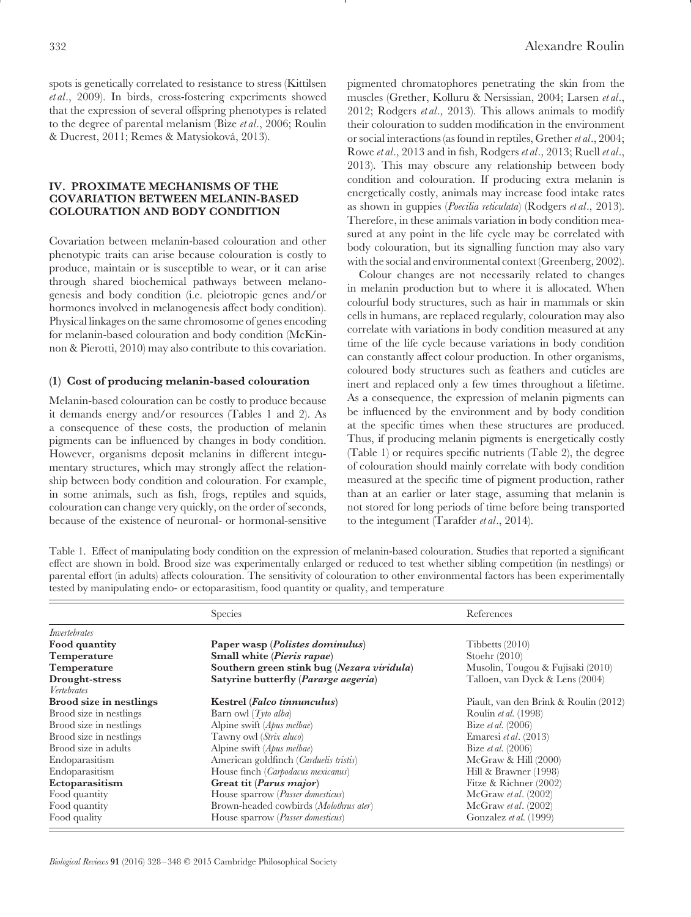spots is genetically correlated to resistance to stress (Kittilsen *et al*., 2009). In birds, cross-fostering experiments showed that the expression of several offspring phenotypes is related to the degree of parental melanism (Bize *et al*., 2006; Roulin & Ducrest, 2011; Remes & Matysiokova, 2013). ´

#### **IV. PROXIMATE MECHANISMS OF THE COVARIATION BETWEEN MELANIN-BASED COLOURATION AND BODY CONDITION**

Covariation between melanin-based colouration and other phenotypic traits can arise because colouration is costly to produce, maintain or is susceptible to wear, or it can arise through shared biochemical pathways between melanogenesis and body condition (i.e. pleiotropic genes and/or hormones involved in melanogenesis affect body condition). Physical linkages on the same chromosome of genes encoding for melanin-based colouration and body condition (McKinnon & Pierotti, 2010) may also contribute to this covariation.

# **(1) Cost of producing melanin-based colouration**

Melanin-based colouration can be costly to produce because it demands energy and/or resources (Tables 1 and 2). As a consequence of these costs, the production of melanin pigments can be influenced by changes in body condition. However, organisms deposit melanins in different integumentary structures, which may strongly affect the relationship between body condition and colouration. For example, in some animals, such as fish, frogs, reptiles and squids, colouration can change very quickly, on the order of seconds, because of the existence of neuronal- or hormonal-sensitive pigmented chromatophores penetrating the skin from the muscles (Grether, Kolluru & Nersissian, 2004; Larsen *et al*., 2012; Rodgers *et al*., 2013). This allows animals to modify their colouration to sudden modification in the environment or social interactions (as found in reptiles, Grether*et al*., 2004; Rowe *et al*., 2013 and in fish, Rodgers *et al*., 2013; Ruell *et al*., 2013). This may obscure any relationship between body condition and colouration. If producing extra melanin is energetically costly, animals may increase food intake rates as shown in guppies (*Poecilia reticulata*) (Rodgers *et al*., 2013). Therefore, in these animals variation in body condition measured at any point in the life cycle may be correlated with body colouration, but its signalling function may also vary with the social and environmental context (Greenberg, 2002).

Colour changes are not necessarily related to changes in melanin production but to where it is allocated. When colourful body structures, such as hair in mammals or skin cells in humans, are replaced regularly, colouration may also correlate with variations in body condition measured at any time of the life cycle because variations in body condition can constantly affect colour production. In other organisms, coloured body structures such as feathers and cuticles are inert and replaced only a few times throughout a lifetime. As a consequence, the expression of melanin pigments can be influenced by the environment and by body condition at the specific times when these structures are produced. Thus, if producing melanin pigments is energetically costly (Table 1) or requires specific nutrients (Table 2), the degree of colouration should mainly correlate with body condition measured at the specific time of pigment production, rather than at an earlier or later stage, assuming that melanin is not stored for long periods of time before being transported to the integument (Tarafder *et al*., 2014).

Table 1. Effect of manipulating body condition on the expression of melanin-based colouration. Studies that reported a significant effect are shown in bold. Brood size was experimentally enlarged or reduced to test whether sibling competition (in nestlings) or parental effort (in adults) affects colouration. The sensitivity of colouration to other environmental factors has been experimentally tested by manipulating endo- or ectoparasitism, food quantity or quality, and temperature

|                                | <b>Species</b>                             | References                            |
|--------------------------------|--------------------------------------------|---------------------------------------|
| Invertebrates                  |                                            |                                       |
| Food quantity                  | Paper wasp (Polistes dominulus)            | Tibbetts $(2010)$                     |
| Temperature                    | Small white ( <i>Pieris rapae</i> )        | Stochr $(2010)$                       |
| Temperature                    | Southern green stink bug (Nezara viridula) | Musolin, Tougou & Fujisaki (2010)     |
| Drought-stress                 | Satyrine butterfly (Pararge aegeria)       | Talloen, van Dyck & Lens (2004)       |
| <b>Vertebrates</b>             |                                            |                                       |
| <b>Brood size in nestlings</b> | Kestrel (Falco tinnunculus)                | Piault, van den Brink & Roulin (2012) |
| Brood size in nestlings        | Barn owl $(Tyto alba)$                     | Roulin et al. (1998)                  |
| Brood size in nestlings        | Alpine swift (Apus melbae)                 | Bize et al. (2006)                    |
| Brood size in nestlings        | Tawny owl (Strix aluco)                    | Emaresi et al. $(2013)$               |
| Brood size in adults           | Alpine swift (Apus melbae)                 | Bize <i>et al.</i> $(2006)$           |
| Endoparasitism                 | American goldfinch (Carduelis tristis)     | McGraw & Hill (2000)                  |
| Endoparasitism                 | House finch (Carpodacus mexicanus)         | Hill & Brawner (1998)                 |
| Ectoparasitism                 | Great tit (Parus major)                    | Fitze & Richner (2002)                |
| Food quantity                  | House sparrow (Passer domesticus)          | $McGraw$ et al. (2002)                |
| Food quantity                  | Brown-headed cowbirds (Molothrus ater)     | $McGraw$ et al. (2002)                |
| Food quality                   | House sparrow ( <i>Passer domesticus</i> ) | Gonzalez et al. (1999)                |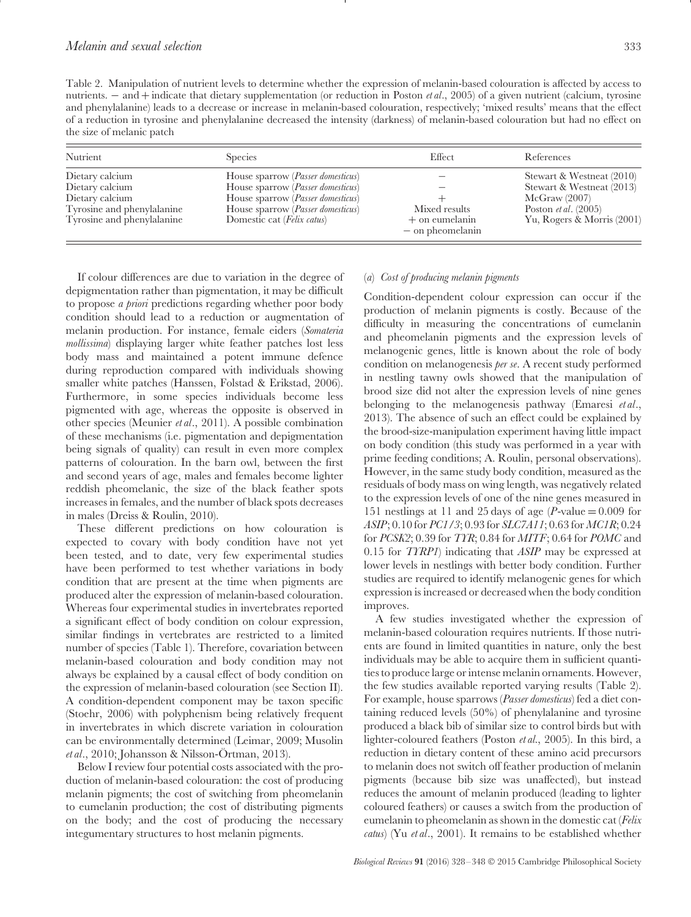Table 2. Manipulation of nutrient levels to determine whether the expression of melanin-based colouration is affected by access to nutrients. − and + indicate that dietary supplementation (or reduction in Poston *et al*., 2005) of a given nutrient (calcium, tyrosine and phenylalanine) leads to a decrease or increase in melanin-based colouration, respectively; 'mixed results' means that the effect of a reduction in tyrosine and phenylalanine decreased the intensity (darkness) of melanin-based colouration but had no effect on the size of melanic patch

| Nutrient                   | <b>Species</b>                             | Effect                                 | References                    |
|----------------------------|--------------------------------------------|----------------------------------------|-------------------------------|
| Dietary calcium            | House sparrow ( <i>Passer domesticus</i> ) |                                        | Stewart & Westneat (2010)     |
| Dietary calcium            | House sparrow ( <i>Passer domesticus</i> ) |                                        | Stewart & Westneat (2013)     |
| Dietary calcium            | House sparrow ( <i>Passer domesticus</i> ) |                                        | McGraw(2007)                  |
| Tyrosine and phenylalanine | House sparrow ( <i>Passer domesticus</i> ) | Mixed results                          | Poston <i>et al.</i> $(2005)$ |
| Tyrosine and phenylalanine | Domestic cat ( <i>Felix catus</i> )        | $+$ on eumelanin<br>$-$ on pheomelanin | Yu, Rogers & Morris (2001)    |

If colour differences are due to variation in the degree of depigmentation rather than pigmentation, it may be difficult to propose *a priori* predictions regarding whether poor body condition should lead to a reduction or augmentation of melanin production. For instance, female eiders (*Somateria mollissima*) displaying larger white feather patches lost less body mass and maintained a potent immune defence during reproduction compared with individuals showing smaller white patches (Hanssen, Folstad & Erikstad, 2006). Furthermore, in some species individuals become less pigmented with age, whereas the opposite is observed in other species (Meunier *et al*., 2011). A possible combination of these mechanisms (i.e. pigmentation and depigmentation being signals of quality) can result in even more complex patterns of colouration. In the barn owl, between the first and second years of age, males and females become lighter reddish pheomelanic, the size of the black feather spots increases in females, and the number of black spots decreases in males (Dreiss & Roulin, 2010).

These different predictions on how colouration is expected to covary with body condition have not yet been tested, and to date, very few experimental studies have been performed to test whether variations in body condition that are present at the time when pigments are produced alter the expression of melanin-based colouration. Whereas four experimental studies in invertebrates reported a significant effect of body condition on colour expression, similar findings in vertebrates are restricted to a limited number of species (Table 1). Therefore, covariation between melanin-based colouration and body condition may not always be explained by a causal effect of body condition on the expression of melanin-based colouration (see Section II). A condition-dependent component may be taxon specific (Stoehr, 2006) with polyphenism being relatively frequent in invertebrates in which discrete variation in colouration can be environmentally determined (Leimar, 2009; Musolin *et al.*, 2010; Johansson & Nilsson-Ortman, 2013).

Below I review four potential costs associated with the production of melanin-based colouration: the cost of producing melanin pigments; the cost of switching from pheomelanin to eumelanin production; the cost of distributing pigments on the body; and the cost of producing the necessary integumentary structures to host melanin pigments.

#### (*a*) *Cost of producing melanin pigments*

Condition-dependent colour expression can occur if the production of melanin pigments is costly. Because of the difficulty in measuring the concentrations of eumelanin and pheomelanin pigments and the expression levels of melanogenic genes, little is known about the role of body condition on melanogenesis *per se*. A recent study performed in nestling tawny owls showed that the manipulation of brood size did not alter the expression levels of nine genes belonging to the melanogenesis pathway (Emaresi *et al*., 2013). The absence of such an effect could be explained by the brood-size-manipulation experiment having little impact on body condition (this study was performed in a year with prime feeding conditions; A. Roulin, personal observations). However, in the same study body condition, measured as the residuals of body mass on wing length, was negatively related to the expression levels of one of the nine genes measured in 151 nestlings at 11 and 25 days of age (*P*-value = 0.009 for *ASIP*; 0.10 for *PC1/3*; 0.93 for *SLC7A11*; 0.63 for *MC1R*; 0.24 for *PCSK2*; 0.39 for *TYR*; 0.84 for *MITF*; 0.64 for *POMC* and 0.15 for *TYRP1*) indicating that *ASIP* may be expressed at lower levels in nestlings with better body condition. Further studies are required to identify melanogenic genes for which expression is increased or decreased when the body condition improves.

A few studies investigated whether the expression of melanin-based colouration requires nutrients. If those nutrients are found in limited quantities in nature, only the best individuals may be able to acquire them in sufficient quantities to produce large or intense melanin ornaments. However, the few studies available reported varying results (Table 2). For example, house sparrows (*Passer domesticus*) fed a diet containing reduced levels (50%) of phenylalanine and tyrosine produced a black bib of similar size to control birds but with lighter-coloured feathers (Poston *et al.*, 2005). In this bird, a reduction in dietary content of these amino acid precursors to melanin does not switch off feather production of melanin pigments (because bib size was unaffected), but instead reduces the amount of melanin produced (leading to lighter coloured feathers) or causes a switch from the production of eumelanin to pheomelanin as shown in the domestic cat (*Felix catus*) (Yu *et al*., 2001). It remains to be established whether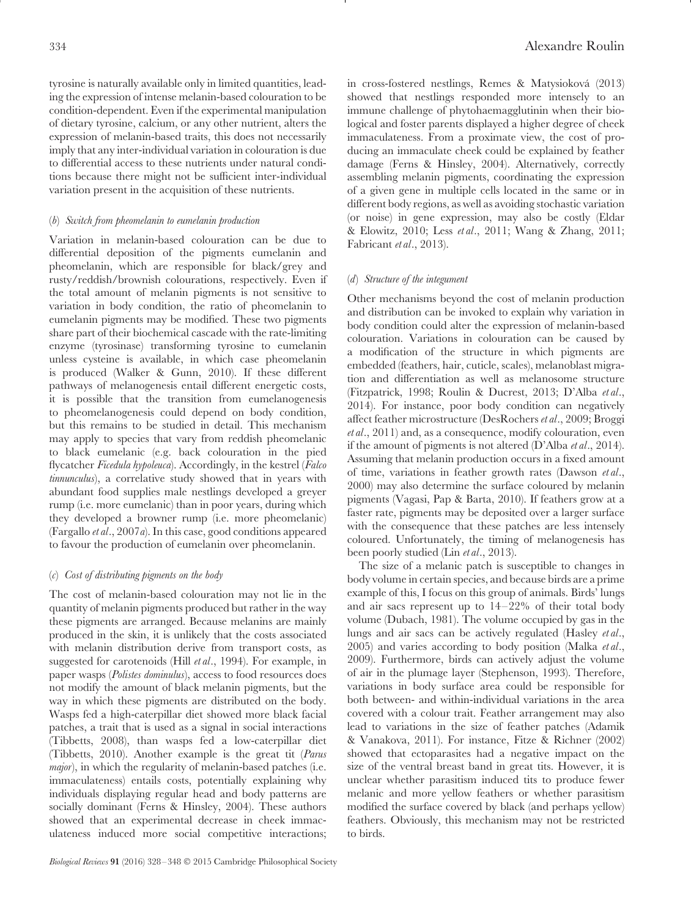tyrosine is naturally available only in limited quantities, leading the expression of intense melanin-based colouration to be condition-dependent. Even if the experimental manipulation of dietary tyrosine, calcium, or any other nutrient, alters the expression of melanin-based traits, this does not necessarily imply that any inter-individual variation in colouration is due to differential access to these nutrients under natural conditions because there might not be sufficient inter-individual variation present in the acquisition of these nutrients.

#### (*b*) *Switch from pheomelanin to eumelanin production*

Variation in melanin-based colouration can be due to differential deposition of the pigments eumelanin and pheomelanin, which are responsible for black/grey and rusty/reddish/brownish colourations, respectively. Even if the total amount of melanin pigments is not sensitive to variation in body condition, the ratio of pheomelanin to eumelanin pigments may be modified. These two pigments share part of their biochemical cascade with the rate-limiting enzyme (tyrosinase) transforming tyrosine to eumelanin unless cysteine is available, in which case pheomelanin is produced (Walker & Gunn, 2010). If these different pathways of melanogenesis entail different energetic costs, it is possible that the transition from eumelanogenesis to pheomelanogenesis could depend on body condition, but this remains to be studied in detail. This mechanism may apply to species that vary from reddish pheomelanic to black eumelanic (e.g. back colouration in the pied flycatcher *Ficedula hypoleuca*). Accordingly, in the kestrel (*Falco tinnunculus*), a correlative study showed that in years with abundant food supplies male nestlings developed a greyer rump (i.e. more eumelanic) than in poor years, during which they developed a browner rump (i.e. more pheomelanic) (Fargallo *et al*., 2007*a*). In this case, good conditions appeared to favour the production of eumelanin over pheomelanin.

#### (*c*) *Cost of distributing pigments on the body*

The cost of melanin-based colouration may not lie in the quantity of melanin pigments produced but rather in the way these pigments are arranged. Because melanins are mainly produced in the skin, it is unlikely that the costs associated with melanin distribution derive from transport costs, as suggested for carotenoids (Hill *et al*., 1994). For example, in paper wasps (*Polistes dominulus*), access to food resources does not modify the amount of black melanin pigments, but the way in which these pigments are distributed on the body. Wasps fed a high-caterpillar diet showed more black facial patches, a trait that is used as a signal in social interactions (Tibbetts, 2008), than wasps fed a low-caterpillar diet (Tibbetts, 2010). Another example is the great tit (*Parus major*), in which the regularity of melanin-based patches (i.e. immaculateness) entails costs, potentially explaining why individuals displaying regular head and body patterns are socially dominant (Ferns & Hinsley, 2004). These authors showed that an experimental decrease in cheek immaculateness induced more social competitive interactions; in cross-fostered nestlings, Remes & Matysioková (2013) showed that nestlings responded more intensely to an immune challenge of phytohaemagglutinin when their biological and foster parents displayed a higher degree of cheek immaculateness. From a proximate view, the cost of producing an immaculate cheek could be explained by feather damage (Ferns & Hinsley, 2004). Alternatively, correctly assembling melanin pigments, coordinating the expression of a given gene in multiple cells located in the same or in different body regions, as well as avoiding stochastic variation (or noise) in gene expression, may also be costly (Eldar & Elowitz, 2010; Less *et al*., 2011; Wang & Zhang, 2011; Fabricant *et al*., 2013).

# (*d*) *Structure of the integument*

Other mechanisms beyond the cost of melanin production and distribution can be invoked to explain why variation in body condition could alter the expression of melanin-based colouration. Variations in colouration can be caused by a modification of the structure in which pigments are embedded (feathers, hair, cuticle, scales), melanoblast migration and differentiation as well as melanosome structure (Fitzpatrick, 1998; Roulin & Ducrest, 2013; D'Alba *et al*., 2014). For instance, poor body condition can negatively affect feather microstructure (DesRochers *et al*., 2009; Broggi *et al*., 2011) and, as a consequence, modify colouration, even if the amount of pigments is not altered (D'Alba *et al*., 2014). Assuming that melanin production occurs in a fixed amount of time, variations in feather growth rates (Dawson *et al*., 2000) may also determine the surface coloured by melanin pigments (Vagasi, Pap & Barta, 2010). If feathers grow at a faster rate, pigments may be deposited over a larger surface with the consequence that these patches are less intensely coloured. Unfortunately, the timing of melanogenesis has been poorly studied (Lin *et al*., 2013).

The size of a melanic patch is susceptible to changes in body volume in certain species, and because birds are a prime example of this, I focus on this group of animals. Birds' lungs and air sacs represent up to 14–22% of their total body volume (Dubach, 1981). The volume occupied by gas in the lungs and air sacs can be actively regulated (Hasley *et al*., 2005) and varies according to body position (Malka *et al*., 2009). Furthermore, birds can actively adjust the volume of air in the plumage layer (Stephenson, 1993). Therefore, variations in body surface area could be responsible for both between- and within-individual variations in the area covered with a colour trait. Feather arrangement may also lead to variations in the size of feather patches (Adamik & Vanakova, 2011). For instance, Fitze & Richner (2002) showed that ectoparasites had a negative impact on the size of the ventral breast band in great tits. However, it is unclear whether parasitism induced tits to produce fewer melanic and more yellow feathers or whether parasitism modified the surface covered by black (and perhaps yellow) feathers. Obviously, this mechanism may not be restricted to birds.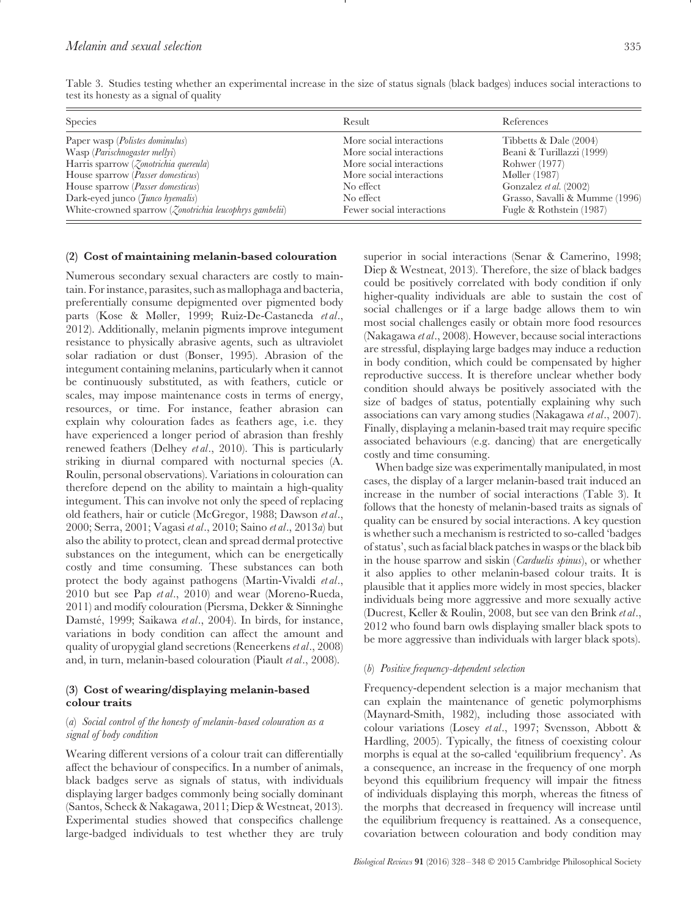| <b>Species</b>                                          | Result                    | <b>References</b>              |
|---------------------------------------------------------|---------------------------|--------------------------------|
| Paper wasp ( <i>Polistes dominulus</i> )                | More social interactions  | Tibbetts & Dale (2004)         |
| Wasp ( <i>Parischnogaster mellyi</i> )                  | More social interactions  | Beani & Turillazzi (1999)      |
| Harris sparrow (Zonotrichia quereula)                   | More social interactions  | <b>Rohwer</b> (1977)           |
| House sparrow ( <i>Passer domesticus</i> )              | More social interactions  | Møller (1987)                  |
| House sparrow ( <i>Passer domesticus</i> )              | No effect                 | Gonzalez et al. (2002)         |
| Dark-eyed junco (Junco hyemalis)                        | No effect                 | Grasso, Savalli & Mumme (1996) |
| White-crowned sparrow (Zonotrichia leucophrys gambelii) | Fewer social interactions | Fugle & Rothstein (1987)       |

Table 3. Studies testing whether an experimental increase in the size of status signals (black badges) induces social interactions to test its honesty as a signal of quality

#### **(2) Cost of maintaining melanin-based colouration**

Numerous secondary sexual characters are costly to maintain. For instance, parasites, such as mallophaga and bacteria, preferentially consume depigmented over pigmented body parts (Kose & Møller, 1999; Ruiz-De-Castaneda *et al*., 2012). Additionally, melanin pigments improve integument resistance to physically abrasive agents, such as ultraviolet solar radiation or dust (Bonser, 1995). Abrasion of the integument containing melanins, particularly when it cannot be continuously substituted, as with feathers, cuticle or scales, may impose maintenance costs in terms of energy, resources, or time. For instance, feather abrasion can explain why colouration fades as feathers age, i.e. they have experienced a longer period of abrasion than freshly renewed feathers (Delhey *et al*., 2010). This is particularly striking in diurnal compared with nocturnal species (A. Roulin, personal observations). Variations in colouration can therefore depend on the ability to maintain a high-quality integument. This can involve not only the speed of replacing old feathers, hair or cuticle (McGregor, 1988; Dawson *et al*., 2000; Serra, 2001; Vagasi *et al*., 2010; Saino *et al*., 2013*a*) but also the ability to protect, clean and spread dermal protective substances on the integument, which can be energetically costly and time consuming. These substances can both protect the body against pathogens (Martin-Vivaldi *et al*., 2010 but see Pap *et al*., 2010) and wear (Moreno-Rueda, 2011) and modify colouration (Piersma, Dekker & Sinninghe Damsté, 1999; Saikawa et al., 2004). In birds, for instance, variations in body condition can affect the amount and quality of uropygial gland secretions (Reneerkens *et al*., 2008) and, in turn, melanin-based colouration (Piault *et al*., 2008).

# **(3) Cost of wearing/displaying melanin-based colour traits**

#### (*a*) *Social control of the honesty of melanin-based colouration as a signal of body condition*

Wearing different versions of a colour trait can differentially affect the behaviour of conspecifics. In a number of animals, black badges serve as signals of status, with individuals displaying larger badges commonly being socially dominant (Santos, Scheck & Nakagawa, 2011; Diep & Westneat, 2013). Experimental studies showed that conspecifics challenge large-badged individuals to test whether they are truly superior in social interactions (Senar & Camerino, 1998; Diep & Westneat, 2013). Therefore, the size of black badges could be positively correlated with body condition if only higher-quality individuals are able to sustain the cost of social challenges or if a large badge allows them to win most social challenges easily or obtain more food resources (Nakagawa *et al*., 2008). However, because social interactions are stressful, displaying large badges may induce a reduction in body condition, which could be compensated by higher reproductive success. It is therefore unclear whether body condition should always be positively associated with the size of badges of status, potentially explaining why such associations can vary among studies (Nakagawa *et al*., 2007). Finally, displaying a melanin-based trait may require specific associated behaviours (e.g. dancing) that are energetically costly and time consuming.

When badge size was experimentally manipulated, in most cases, the display of a larger melanin-based trait induced an increase in the number of social interactions (Table 3). It follows that the honesty of melanin-based traits as signals of quality can be ensured by social interactions. A key question is whether such a mechanism is restricted to so-called 'badges of status', such as facial black patches in wasps or the black bib in the house sparrow and siskin (*Carduelis spinus*), or whether it also applies to other melanin-based colour traits. It is plausible that it applies more widely in most species, blacker individuals being more aggressive and more sexually active (Ducrest, Keller & Roulin, 2008, but see van den Brink *et al*., 2012 who found barn owls displaying smaller black spots to be more aggressive than individuals with larger black spots).

# (*b*) *Positive frequency-dependent selection*

Frequency-dependent selection is a major mechanism that can explain the maintenance of genetic polymorphisms (Maynard-Smith, 1982), including those associated with colour variations (Losey *et al*., 1997; Svensson, Abbott & Hardling, 2005). Typically, the fitness of coexisting colour morphs is equal at the so-called 'equilibrium frequency'. As a consequence, an increase in the frequency of one morph beyond this equilibrium frequency will impair the fitness of individuals displaying this morph, whereas the fitness of the morphs that decreased in frequency will increase until the equilibrium frequency is reattained. As a consequence, covariation between colouration and body condition may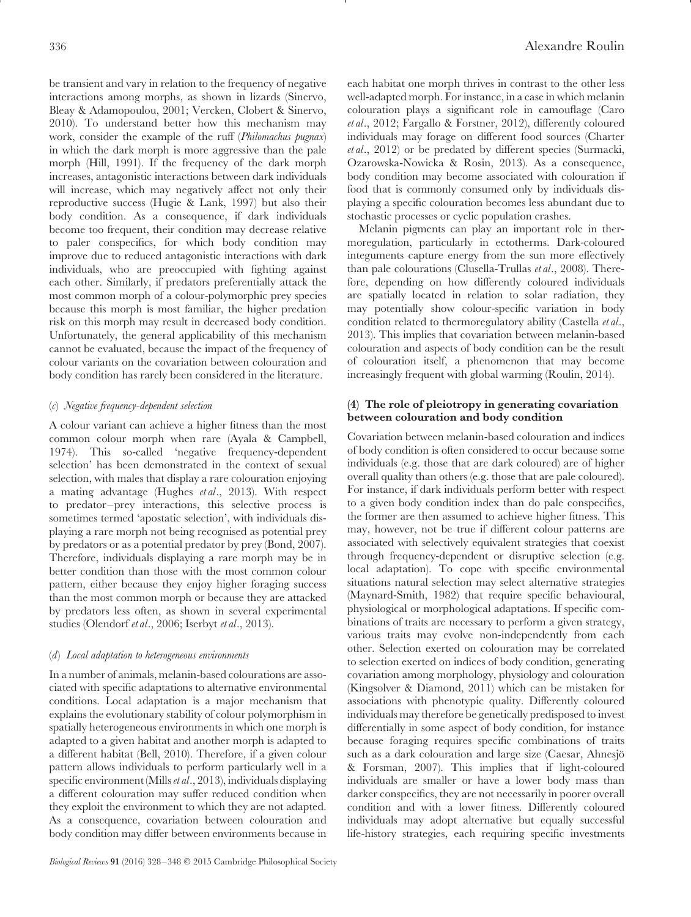be transient and vary in relation to the frequency of negative interactions among morphs, as shown in lizards (Sinervo, Bleay & Adamopoulou, 2001; Vercken, Clobert & Sinervo, 2010). To understand better how this mechanism may work, consider the example of the ruff (*Philomachus pugnax*) in which the dark morph is more aggressive than the pale morph (Hill, 1991). If the frequency of the dark morph increases, antagonistic interactions between dark individuals will increase, which may negatively affect not only their reproductive success (Hugie & Lank, 1997) but also their body condition. As a consequence, if dark individuals become too frequent, their condition may decrease relative to paler conspecifics, for which body condition may improve due to reduced antagonistic interactions with dark individuals, who are preoccupied with fighting against each other. Similarly, if predators preferentially attack the most common morph of a colour-polymorphic prey species because this morph is most familiar, the higher predation risk on this morph may result in decreased body condition. Unfortunately, the general applicability of this mechanism cannot be evaluated, because the impact of the frequency of colour variants on the covariation between colouration and body condition has rarely been considered in the literature.

#### (*c*) *Negative frequency-dependent selection*

A colour variant can achieve a higher fitness than the most common colour morph when rare (Ayala & Campbell, 1974). This so-called 'negative frequency-dependent selection' has been demonstrated in the context of sexual selection, with males that display a rare colouration enjoying a mating advantage (Hughes *et al*., 2013). With respect to predator–prey interactions, this selective process is sometimes termed 'apostatic selection', with individuals displaying a rare morph not being recognised as potential prey by predators or as a potential predator by prey (Bond, 2007). Therefore, individuals displaying a rare morph may be in better condition than those with the most common colour pattern, either because they enjoy higher foraging success than the most common morph or because they are attacked by predators less often, as shown in several experimental studies (Olendorf *et al*., 2006; Iserbyt *et al*., 2013).

#### (*d*) *Local adaptation to heterogeneous environments*

In a number of animals, melanin-based colourations are associated with specific adaptations to alternative environmental conditions. Local adaptation is a major mechanism that explains the evolutionary stability of colour polymorphism in spatially heterogeneous environments in which one morph is adapted to a given habitat and another morph is adapted to a different habitat (Bell, 2010). Therefore, if a given colour pattern allows individuals to perform particularly well in a specific environment (Mills*et al*., 2013), individuals displaying a different colouration may suffer reduced condition when they exploit the environment to which they are not adapted. As a consequence, covariation between colouration and body condition may differ between environments because in each habitat one morph thrives in contrast to the other less well-adapted morph. For instance, in a case in which melanin colouration plays a significant role in camouflage (Caro *et al*., 2012; Fargallo & Forstner, 2012), differently coloured individuals may forage on different food sources (Charter *et al*., 2012) or be predated by different species (Surmacki, Ozarowska-Nowicka & Rosin, 2013). As a consequence, body condition may become associated with colouration if food that is commonly consumed only by individuals displaying a specific colouration becomes less abundant due to stochastic processes or cyclic population crashes.

Melanin pigments can play an important role in thermoregulation, particularly in ectotherms. Dark-coloured integuments capture energy from the sun more effectively than pale colourations (Clusella-Trullas *et al*., 2008). Therefore, depending on how differently coloured individuals are spatially located in relation to solar radiation, they may potentially show colour-specific variation in body condition related to thermoregulatory ability (Castella *et al*., 2013). This implies that covariation between melanin-based colouration and aspects of body condition can be the result of colouration itself, a phenomenon that may become increasingly frequent with global warming (Roulin, 2014).

#### **(4) The role of pleiotropy in generating covariation between colouration and body condition**

Covariation between melanin-based colouration and indices of body condition is often considered to occur because some individuals (e.g. those that are dark coloured) are of higher overall quality than others (e.g. those that are pale coloured). For instance, if dark individuals perform better with respect to a given body condition index than do pale conspecifics, the former are then assumed to achieve higher fitness. This may, however, not be true if different colour patterns are associated with selectively equivalent strategies that coexist through frequency-dependent or disruptive selection (e.g. local adaptation). To cope with specific environmental situations natural selection may select alternative strategies (Maynard-Smith, 1982) that require specific behavioural, physiological or morphological adaptations. If specific combinations of traits are necessary to perform a given strategy, various traits may evolve non-independently from each other. Selection exerted on colouration may be correlated to selection exerted on indices of body condition, generating covariation among morphology, physiology and colouration (Kingsolver & Diamond, 2011) which can be mistaken for associations with phenotypic quality. Differently coloured individuals may therefore be genetically predisposed to invest differentially in some aspect of body condition, for instance because foraging requires specific combinations of traits such as a dark colouration and large size (Caesar, Ahnesjö & Forsman, 2007). This implies that if light-coloured individuals are smaller or have a lower body mass than darker conspecifics, they are not necessarily in poorer overall condition and with a lower fitness. Differently coloured individuals may adopt alternative but equally successful life-history strategies, each requiring specific investments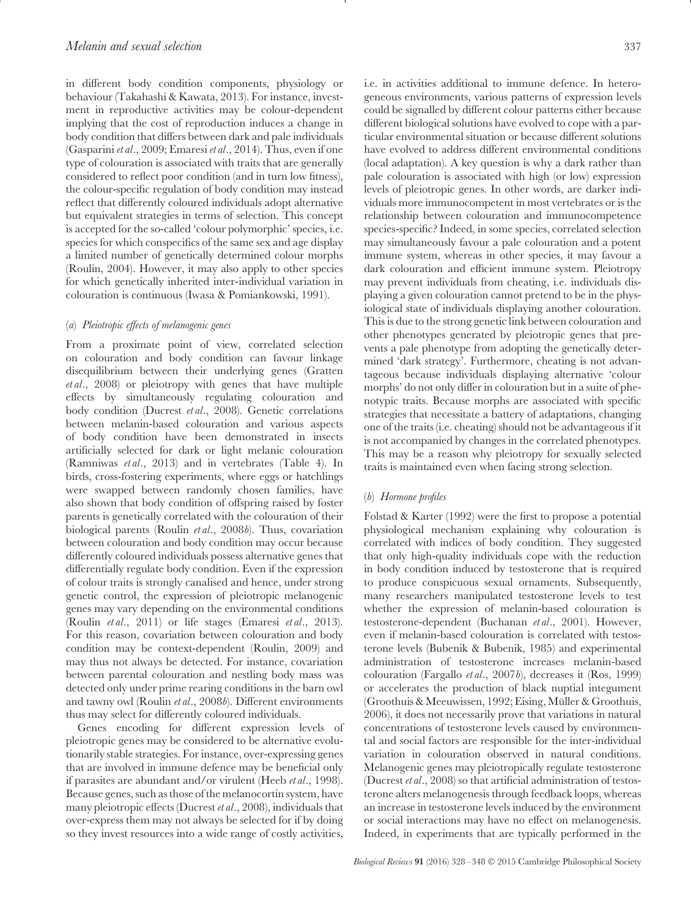in different body condition components, physiology or behaviour (Takahashi & Kawata, 2013). For instance, investment in reproductive activities may be colour-dependent implying that the cost of reproduction induces a change in body condition that differs between dark and pale individuals (Gasparini *et al*., 2009; Emaresi *et al*., 2014). Thus, even if one type of colouration is associated with traits that are generally considered to reflect poor condition (and in turn low fitness), the colour-specific regulation of body condition may instead reflect that differently coloured individuals adopt alternative but equivalent strategies in terms of selection. This concept is accepted for the so-called 'colour polymorphic' species, i.e. species for which conspecifics of the same sex and age display a limited number of genetically determined colour morphs (Roulin, 2004). However, it may also apply to other species for which genetically inherited inter-individual variation in colouration is continuous (Iwasa & Pomiankowski, 1991).

#### (*a*) *Pleiotropic effects of melanogenic genes*

From a proximate point of view, correlated selection on colouration and body condition can favour linkage disequilibrium between their underlying genes (Gratten *et al*., 2008) or pleiotropy with genes that have multiple effects by simultaneously regulating colouration and body condition (Ducrest *et al*., 2008). Genetic correlations between melanin-based colouration and various aspects of body condition have been demonstrated in insects artificially selected for dark or light melanic colouration (Ramniwas *et al*., 2013) and in vertebrates (Table 4). In birds, cross-fostering experiments, where eggs or hatchlings were swapped between randomly chosen families, have also shown that body condition of offspring raised by foster parents is genetically correlated with the colouration of their biological parents (Roulin *et al*., 2008*b*). Thus, covariation between colouration and body condition may occur because differently coloured individuals possess alternative genes that differentially regulate body condition. Even if the expression of colour traits is strongly canalised and hence, under strong genetic control, the expression of pleiotropic melanogenic genes may vary depending on the environmental conditions (Roulin *et al*., 2011) or life stages (Emaresi *et al*., 2013). For this reason, covariation between colouration and body condition may be context-dependent (Roulin, 2009) and may thus not always be detected. For instance, covariation between parental colouration and nestling body mass was detected only under prime rearing conditions in the barn owl and tawny owl (Roulin *et al*., 2008*b*). Different environments thus may select for differently coloured individuals.

Genes encoding for different expression levels of pleiotropic genes may be considered to be alternative evolutionarily stable strategies. For instance, over-expressing genes that are involved in immune defence may be beneficial only if parasites are abundant and/or virulent (Heeb *et al*., 1998). Because genes, such as those of the melanocortin system, have many pleiotropic effects (Ducrest *et al*., 2008), individuals that over-express them may not always be selected for if by doing so they invest resources into a wide range of costly activities,

i.e. in activities additional to immune defence. In heterogeneous environments, various patterns of expression levels could be signalled by different colour patterns either because different biological solutions have evolved to cope with a particular environmental situation or because different solutions have evolved to address different environmental conditions (local adaptation). A key question is why a dark rather than pale colouration is associated with high (or low) expression levels of pleiotropic genes. In other words, are darker individuals more immunocompetent in most vertebrates or is the relationship between colouration and immunocompetence species-specific? Indeed, in some species, correlated selection may simultaneously favour a pale colouration and a potent immune system, whereas in other species, it may favour a dark colouration and efficient immune system. Pleiotropy may prevent individuals from cheating, i.e. individuals displaying a given colouration cannot pretend to be in the physiological state of individuals displaying another colouration. This is due to the strong genetic link between colouration and other phenotypes generated by pleiotropic genes that prevents a pale phenotype from adopting the genetically determined 'dark strategy'. Furthermore, cheating is not advantageous because individuals displaying alternative 'colour morphs' do not only differ in colouration but in a suite of phenotypic traits. Because morphs are associated with specific strategies that necessitate a battery of adaptations, changing one of the traits (i.e. cheating) should not be advantageous if it is not accompanied by changes in the correlated phenotypes. This may be a reason why pleiotropy for sexually selected traits is maintained even when facing strong selection.

#### (*b*) *Hormone profiles*

Folstad & Karter (1992) were the first to propose a potential physiological mechanism explaining why colouration is correlated with indices of body condition. They suggested that only high-quality individuals cope with the reduction in body condition induced by testosterone that is required to produce conspicuous sexual ornaments. Subsequently, many researchers manipulated testosterone levels to test whether the expression of melanin-based colouration is testosterone-dependent (Buchanan *et al*., 2001). However, even if melanin-based colouration is correlated with testosterone levels (Bubenik & Bubenik, 1985) and experimental administration of testosterone increases melanin-based colouration (Fargallo *et al*., 2007*b*), decreases it (Ros, 1999) or accelerates the production of black nuptial integument (Groothuis & Meeuwissen, 1992; Eising, Müller & Groothuis, 2006), it does not necessarily prove that variations in natural concentrations of testosterone levels caused by environmental and social factors are responsible for the inter-individual variation in colouration observed in natural conditions. Melanogenic genes may pleiotropically regulate testosterone (Ducrest *et al*., 2008) so that artificial administration of testosterone alters melanogenesis through feedback loops, whereas an increase in testosterone levels induced by the environment or social interactions may have no effect on melanogenesis. Indeed, in experiments that are typically performed in the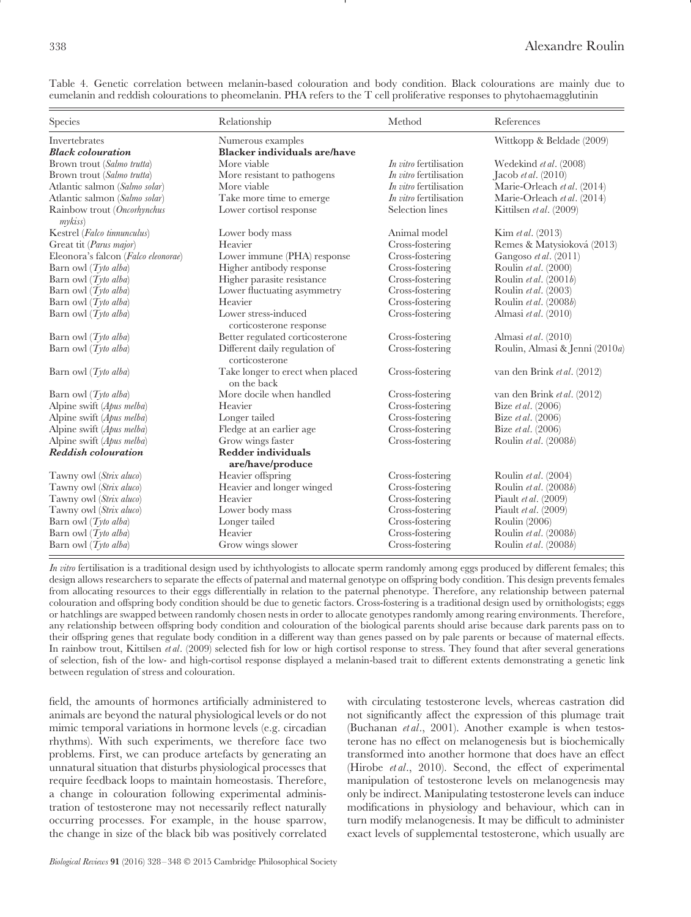| <b>Species</b>                              | Relationship                                    | Method                 | References                     |
|---------------------------------------------|-------------------------------------------------|------------------------|--------------------------------|
| Invertebrates                               | Numerous examples                               |                        | Wittkopp & Beldade (2009)      |
| <b>Black</b> colouration                    | <b>Blacker individuals are/have</b>             |                        |                                |
| Brown trout (Salmo trutta)                  | More viable                                     | In vitro fertilisation | Wedekind et al. (2008)         |
| Brown trout (Salmo trutta)                  | More resistant to pathogens                     | In vitro fertilisation | Jacob et al. $(2010)$          |
| Atlantic salmon (Salmo solar)               | More viable                                     | In vitro fertilisation | Marie-Orleach et al. (2014)    |
| Atlantic salmon (Salmo solar)               | Take more time to emerge                        | In vitro fertilisation | Marie-Orleach et al. (2014)    |
| Rainbow trout (Oncorhynchus<br>$m\nu kis$ s | Lower cortisol response                         | <b>Selection</b> lines | Kittilsen et al. (2009)        |
| Kestrel (Falco tinnunculus)                 | Lower body mass                                 | Animal model           | Kim et al. (2013)              |
| Great tit (Parus major)                     | Heavier                                         | Cross-fostering        | Remes & Matysioková (2013)     |
| Eleonora's falcon (Falco eleonorae)         | Lower immune (PHA) response                     | Cross-fostering        | Gangoso et al. (2011)          |
| Barn owl $(Tyto alba)$                      | Higher antibody response                        | Cross-fostering        | Roulin et al. (2000)           |
| Barn owl (Tyto alba)                        | Higher parasite resistance                      | Cross-fostering        | Roulin et al. (2001b)          |
| Barn owl ( <i>Tyto alba</i> )               | Lower fluctuating asymmetry                     | Cross-fostering        | Roulin et al. (2003)           |
| Barn owl $(Tyto alba)$                      | Heavier                                         | Cross-fostering        | Roulin et al. (2008b)          |
| Barn owl $(Tyto alba)$                      | Lower stress-induced<br>corticosterone response | Cross-fostering        | Almasi et al. (2010)           |
| Barn owl ( <i>Tyto alba</i> )               | Better regulated corticosterone                 | Cross-fostering        | Almasi et al. $(2010)$         |
| Barn owl $(Tyto alba)$                      | Different daily regulation of<br>corticosterone | Cross-fostering        | Roulin, Almasi & Jenni (2010a) |
| Barn owl ( <i>Tyto alba</i> )               | Take longer to erect when placed<br>on the back | Cross-fostering        | van den Brink et al. (2012)    |
| Barn owl $(Tyto alba)$                      | More docile when handled                        | Cross-fostering        | van den Brink et al. (2012)    |
| Alpine swift (Apus melba)                   | Heavier                                         | Cross-fostering        | Bize et al. (2006)             |
| Alpine swift (Apus melba)                   | Longer tailed                                   | Cross-fostering        | Bize et al. (2006)             |
| Alpine swift (Apus melba)                   | Fledge at an earlier age                        | Cross-fostering        | Bize et al. (2006)             |
| Alpine swift (Apus melba)                   | Grow wings faster                               | Cross-fostering        | Roulin et al. (2008b)          |
| <b>Reddish colouration</b>                  | <b>Redder individuals</b>                       |                        |                                |
|                                             | are/have/produce                                |                        |                                |
| Tawny owl (Strix aluco)                     | Heavier offspring                               | Cross-fostering        | Roulin et al. $(2004)$         |
| Tawny owl (Strix aluco)                     | Heavier and longer winged                       | Cross-fostering        | Roulin et al. (2008b)          |
| Tawny owl (Strix aluco)                     | Heavier                                         | Cross-fostering        | Piault et al. (2009)           |
| Tawny owl (Strix aluco)                     | Lower body mass                                 | Cross-fostering        | Piault et al. (2009)           |
| Barn owl (Tyto alba)                        | Longer tailed                                   | Cross-fostering        | Roulin (2006)                  |
| Barn owl $(Tyto alba)$                      | Heavier                                         | Cross-fostering        | Roulin et al. (2008b)          |
| Barn owl $(Tyto alba)$                      | Grow wings slower                               | Cross-fostering        | Roulin et al. (2008b)          |

Table 4. Genetic correlation between melanin-based colouration and body condition. Black colourations are mainly due to eumelanin and reddish colourations to pheomelanin. PHA refers to the T cell proliferative responses to phytohaemagglutinin

*In vitro* fertilisation is a traditional design used by ichthyologists to allocate sperm randomly among eggs produced by different females; this design allows researchers to separate the effects of paternal and maternal genotype on offspring body condition. This design prevents females from allocating resources to their eggs differentially in relation to the paternal phenotype. Therefore, any relationship between paternal colouration and offspring body condition should be due to genetic factors. Cross-fostering is a traditional design used by ornithologists; eggs or hatchlings are swapped between randomly chosen nests in order to allocate genotypes randomly among rearing environments. Therefore, any relationship between offspring body condition and colouration of the biological parents should arise because dark parents pass on to their offspring genes that regulate body condition in a different way than genes passed on by pale parents or because of maternal effects. In rainbow trout, Kittilsen *et al*. (2009) selected fish for low or high cortisol response to stress. They found that after several generations of selection, fish of the low- and high-cortisol response displayed a melanin-based trait to different extents demonstrating a genetic link between regulation of stress and colouration.

field, the amounts of hormones artificially administered to animals are beyond the natural physiological levels or do not mimic temporal variations in hormone levels (e.g. circadian rhythms). With such experiments, we therefore face two problems. First, we can produce artefacts by generating an unnatural situation that disturbs physiological processes that require feedback loops to maintain homeostasis. Therefore, a change in colouration following experimental administration of testosterone may not necessarily reflect naturally occurring processes. For example, in the house sparrow, the change in size of the black bib was positively correlated with circulating testosterone levels, whereas castration did not significantly affect the expression of this plumage trait (Buchanan *et al*., 2001). Another example is when testosterone has no effect on melanogenesis but is biochemically transformed into another hormone that does have an effect (Hirobe *et al*., 2010). Second, the effect of experimental manipulation of testosterone levels on melanogenesis may only be indirect. Manipulating testosterone levels can induce modifications in physiology and behaviour, which can in turn modify melanogenesis. It may be difficult to administer exact levels of supplemental testosterone, which usually are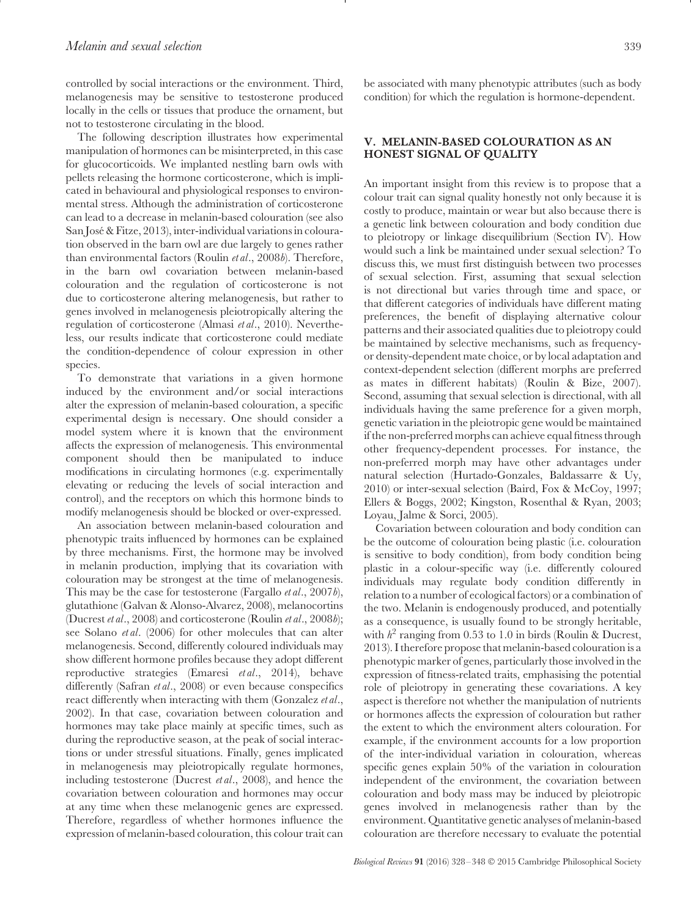controlled by social interactions or the environment. Third, melanogenesis may be sensitive to testosterone produced locally in the cells or tissues that produce the ornament, but not to testosterone circulating in the blood.

The following description illustrates how experimental manipulation of hormones can be misinterpreted, in this case for glucocorticoids. We implanted nestling barn owls with pellets releasing the hormone corticosterone, which is implicated in behavioural and physiological responses to environmental stress. Although the administration of corticosterone can lead to a decrease in melanin-based colouration (see also San José & Fitze, 2013), inter-individual variations in colouration observed in the barn owl are due largely to genes rather than environmental factors (Roulin *et al*., 2008*b*). Therefore, in the barn owl covariation between melanin-based colouration and the regulation of corticosterone is not due to corticosterone altering melanogenesis, but rather to genes involved in melanogenesis pleiotropically altering the regulation of corticosterone (Almasi *et al*., 2010). Nevertheless, our results indicate that corticosterone could mediate the condition-dependence of colour expression in other species.

To demonstrate that variations in a given hormone induced by the environment and/or social interactions alter the expression of melanin-based colouration, a specific experimental design is necessary. One should consider a model system where it is known that the environment affects the expression of melanogenesis. This environmental component should then be manipulated to induce modifications in circulating hormones (e.g. experimentally elevating or reducing the levels of social interaction and control), and the receptors on which this hormone binds to modify melanogenesis should be blocked or over-expressed.

An association between melanin-based colouration and phenotypic traits influenced by hormones can be explained by three mechanisms. First, the hormone may be involved in melanin production, implying that its covariation with colouration may be strongest at the time of melanogenesis. This may be the case for testosterone (Fargallo *et al*., 2007*b*), glutathione (Galvan & Alonso-Alvarez, 2008), melanocortins (Ducrest *et al*., 2008) and corticosterone (Roulin *et al*., 2008*b*); see Solano *et al*. (2006) for other molecules that can alter melanogenesis. Second, differently coloured individuals may show different hormone profiles because they adopt different reproductive strategies (Emaresi *et al*., 2014), behave differently (Safran *et al*., 2008) or even because conspecifics react differently when interacting with them (Gonzalez *et al*., 2002). In that case, covariation between colouration and hormones may take place mainly at specific times, such as during the reproductive season, at the peak of social interactions or under stressful situations. Finally, genes implicated in melanogenesis may pleiotropically regulate hormones, including testosterone (Ducrest *et al*., 2008), and hence the covariation between colouration and hormones may occur at any time when these melanogenic genes are expressed. Therefore, regardless of whether hormones influence the expression of melanin-based colouration, this colour trait can

be associated with many phenotypic attributes (such as body condition) for which the regulation is hormone-dependent.

# **V. MELANIN-BASED COLOURATION AS AN HONEST SIGNAL OF QUALITY**

An important insight from this review is to propose that a colour trait can signal quality honestly not only because it is costly to produce, maintain or wear but also because there is a genetic link between colouration and body condition due to pleiotropy or linkage disequilibrium (Section IV). How would such a link be maintained under sexual selection? To discuss this, we must first distinguish between two processes of sexual selection. First, assuming that sexual selection is not directional but varies through time and space, or that different categories of individuals have different mating preferences, the benefit of displaying alternative colour patterns and their associated qualities due to pleiotropy could be maintained by selective mechanisms, such as frequencyor density-dependent mate choice, or by local adaptation and context-dependent selection (different morphs are preferred as mates in different habitats) (Roulin & Bize, 2007). Second, assuming that sexual selection is directional, with all individuals having the same preference for a given morph, genetic variation in the pleiotropic gene would be maintained if the non-preferred morphs can achieve equal fitness through other frequency-dependent processes. For instance, the non-preferred morph may have other advantages under natural selection (Hurtado-Gonzales, Baldassarre & Uy, 2010) or inter-sexual selection (Baird, Fox & McCoy, 1997; Ellers & Boggs, 2002; Kingston, Rosenthal & Ryan, 2003; Loyau, Jalme & Sorci, 2005).

Covariation between colouration and body condition can be the outcome of colouration being plastic (i.e. colouration is sensitive to body condition), from body condition being plastic in a colour-specific way (i.e. differently coloured individuals may regulate body condition differently in relation to a number of ecological factors) or a combination of the two. Melanin is endogenously produced, and potentially as a consequence, is usually found to be strongly heritable, with  $h^2$  ranging from 0.53 to 1.0 in birds (Roulin & Ducrest, 2013). I therefore propose that melanin-based colouration is a phenotypic marker of genes, particularly those involved in the expression of fitness-related traits, emphasising the potential role of pleiotropy in generating these covariations. A key aspect is therefore not whether the manipulation of nutrients or hormones affects the expression of colouration but rather the extent to which the environment alters colouration. For example, if the environment accounts for a low proportion of the inter-individual variation in colouration, whereas specific genes explain 50% of the variation in colouration independent of the environment, the covariation between colouration and body mass may be induced by pleiotropic genes involved in melanogenesis rather than by the environment. Quantitative genetic analyses of melanin-based colouration are therefore necessary to evaluate the potential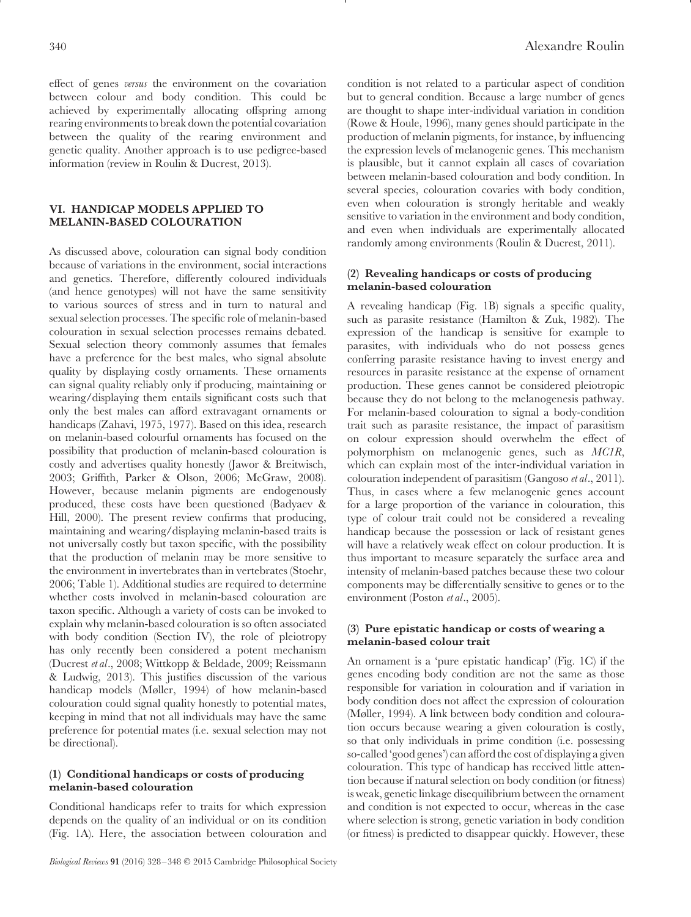effect of genes *versus* the environment on the covariation between colour and body condition. This could be achieved by experimentally allocating offspring among rearing environments to break down the potential covariation between the quality of the rearing environment and genetic quality. Another approach is to use pedigree-based information (review in Roulin & Ducrest, 2013).

# **VI. HANDICAP MODELS APPLIED TO MELANIN-BASED COLOURATION**

As discussed above, colouration can signal body condition because of variations in the environment, social interactions and genetics. Therefore, differently coloured individuals (and hence genotypes) will not have the same sensitivity to various sources of stress and in turn to natural and sexual selection processes. The specific role of melanin-based colouration in sexual selection processes remains debated. Sexual selection theory commonly assumes that females have a preference for the best males, who signal absolute quality by displaying costly ornaments. These ornaments can signal quality reliably only if producing, maintaining or wearing/displaying them entails significant costs such that only the best males can afford extravagant ornaments or handicaps (Zahavi, 1975, 1977). Based on this idea, research on melanin-based colourful ornaments has focused on the possibility that production of melanin-based colouration is costly and advertises quality honestly (Jawor & Breitwisch, 2003; Griffith, Parker & Olson, 2006; McGraw, 2008). However, because melanin pigments are endogenously produced, these costs have been questioned (Badyaev & Hill, 2000). The present review confirms that producing, maintaining and wearing/displaying melanin-based traits is not universally costly but taxon specific, with the possibility that the production of melanin may be more sensitive to the environment in invertebrates than in vertebrates (Stoehr, 2006; Table 1). Additional studies are required to determine whether costs involved in melanin-based colouration are taxon specific. Although a variety of costs can be invoked to explain why melanin-based colouration is so often associated with body condition (Section IV), the role of pleiotropy has only recently been considered a potent mechanism (Ducrest *et al*., 2008; Wittkopp & Beldade, 2009; Reissmann & Ludwig, 2013). This justifies discussion of the various handicap models (Møller, 1994) of how melanin-based colouration could signal quality honestly to potential mates, keeping in mind that not all individuals may have the same preference for potential mates (i.e. sexual selection may not be directional).

#### **(1) Conditional handicaps or costs of producing melanin-based colouration**

Conditional handicaps refer to traits for which expression depends on the quality of an individual or on its condition (Fig. 1A). Here, the association between colouration and condition is not related to a particular aspect of condition but to general condition. Because a large number of genes are thought to shape inter-individual variation in condition (Rowe & Houle, 1996), many genes should participate in the production of melanin pigments, for instance, by influencing the expression levels of melanogenic genes. This mechanism is plausible, but it cannot explain all cases of covariation between melanin-based colouration and body condition. In several species, colouration covaries with body condition, even when colouration is strongly heritable and weakly sensitive to variation in the environment and body condition, and even when individuals are experimentally allocated randomly among environments (Roulin & Ducrest, 2011).

# **(2) Revealing handicaps or costs of producing melanin-based colouration**

A revealing handicap (Fig. 1B) signals a specific quality, such as parasite resistance (Hamilton & Zuk, 1982). The expression of the handicap is sensitive for example to parasites, with individuals who do not possess genes conferring parasite resistance having to invest energy and resources in parasite resistance at the expense of ornament production. These genes cannot be considered pleiotropic because they do not belong to the melanogenesis pathway. For melanin-based colouration to signal a body-condition trait such as parasite resistance, the impact of parasitism on colour expression should overwhelm the effect of polymorphism on melanogenic genes, such as *MC1R*, which can explain most of the inter-individual variation in colouration independent of parasitism (Gangoso *et al*., 2011). Thus, in cases where a few melanogenic genes account for a large proportion of the variance in colouration, this type of colour trait could not be considered a revealing handicap because the possession or lack of resistant genes will have a relatively weak effect on colour production. It is thus important to measure separately the surface area and intensity of melanin-based patches because these two colour components may be differentially sensitive to genes or to the environment (Poston *et al*., 2005).

# **(3) Pure epistatic handicap or costs of wearing a melanin-based colour trait**

An ornament is a 'pure epistatic handicap' (Fig. 1C) if the genes encoding body condition are not the same as those responsible for variation in colouration and if variation in body condition does not affect the expression of colouration (Møller, 1994). A link between body condition and colouration occurs because wearing a given colouration is costly, so that only individuals in prime condition (i.e. possessing so-called 'good genes') can afford the cost of displaying a given colouration. This type of handicap has received little attention because if natural selection on body condition (or fitness) is weak, genetic linkage disequilibrium between the ornament and condition is not expected to occur, whereas in the case where selection is strong, genetic variation in body condition (or fitness) is predicted to disappear quickly. However, these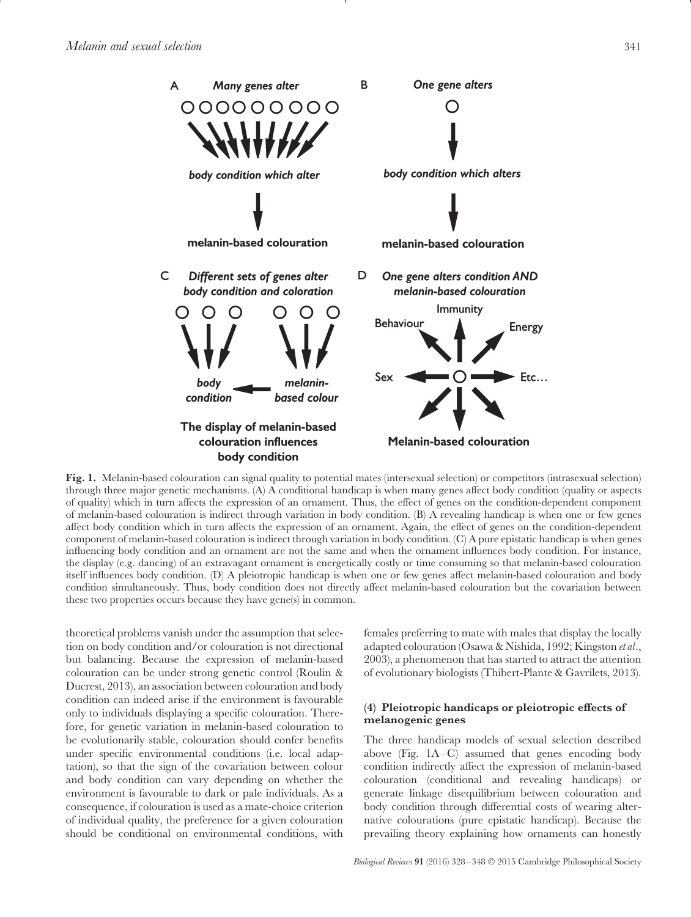

**Fig. 1.** Melanin-based colouration can signal quality to potential mates (intersexual selection) or competitors (intrasexual selection) through three major genetic mechanisms. (A) A conditional handicap is when many genes affect body condition (quality or aspects of quality) which in turn affects the expression of an ornament. Thus, the effect of genes on the condition-dependent component of melanin-based colouration is indirect through variation in body condition. (B) A revealing handicap is when one or few genes affect body condition which in turn affects the expression of an ornament. Again, the effect of genes on the condition-dependent component of melanin-based colouration is indirect through variation in body condition. (C) A pure epistatic handicap is when genes influencing body condition and an ornament are not the same and when the ornament influences body condition. For instance, the display (e.g. dancing) of an extravagant ornament is energetically costly or time consuming so that melanin-based colouration itself influences body condition. (D) A pleiotropic handicap is when one or few genes affect melanin-based colouration and body condition simultaneously. Thus, body condition does not directly affect melanin-based colouration but the covariation between these two properties occurs because they have gene(s) in common.

theoretical problems vanish under the assumption that selection on body condition and/or colouration is not directional but balancing. Because the expression of melanin-based colouration can be under strong genetic control (Roulin & Ducrest, 2013), an association between colouration and body condition can indeed arise if the environment is favourable only to individuals displaying a specific colouration. Therefore, for genetic variation in melanin-based colouration to be evolutionarily stable, colouration should confer benefits under specific environmental conditions (i.e. local adaptation), so that the sign of the covariation between colour and body condition can vary depending on whether the environment is favourable to dark or pale individuals. As a consequence, if colouration is used as a mate-choice criterion of individual quality, the preference for a given colouration should be conditional on environmental conditions, with females preferring to mate with males that display the locally adapted colouration (Osawa & Nishida, 1992; Kingston *et al*., 2003), a phenomenon that has started to attract the attention of evolutionary biologists (Thibert-Plante & Gavrilets, 2013).

# **(4) Pleiotropic handicaps or pleiotropic effects of melanogenic genes**

The three handicap models of sexual selection described above (Fig. 1A–C) assumed that genes encoding body condition indirectly affect the expression of melanin-based colouration (conditional and revealing handicaps) or generate linkage disequilibrium between colouration and body condition through differential costs of wearing alternative colourations (pure epistatic handicap). Because the prevailing theory explaining how ornaments can honestly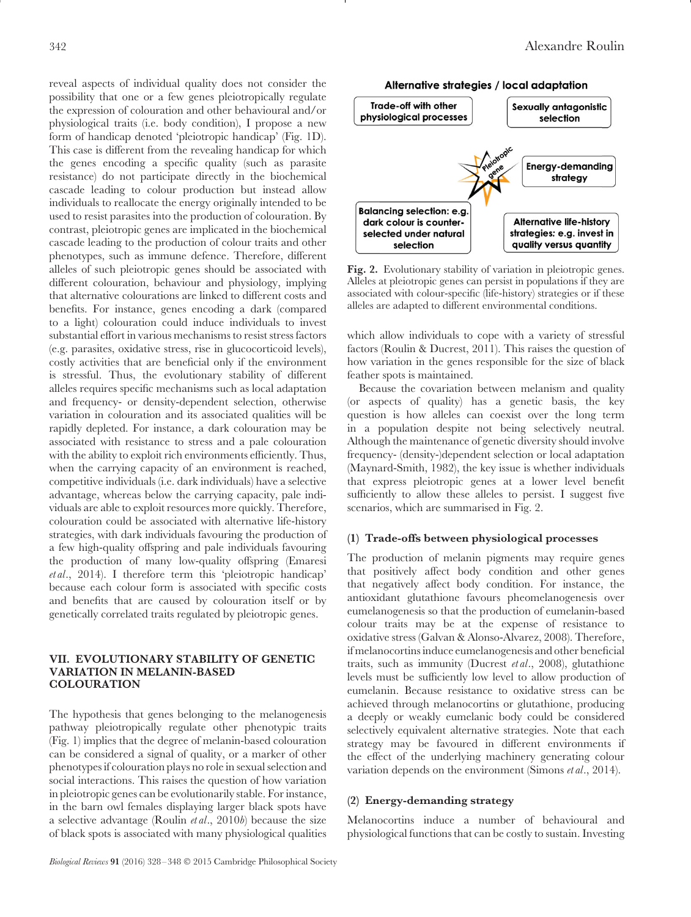reveal aspects of individual quality does not consider the possibility that one or a few genes pleiotropically regulate the expression of colouration and other behavioural and/or physiological traits (i.e. body condition), I propose a new form of handicap denoted 'pleiotropic handicap' (Fig. 1D). This case is different from the revealing handicap for which the genes encoding a specific quality (such as parasite resistance) do not participate directly in the biochemical cascade leading to colour production but instead allow individuals to reallocate the energy originally intended to be used to resist parasites into the production of colouration. By contrast, pleiotropic genes are implicated in the biochemical cascade leading to the production of colour traits and other phenotypes, such as immune defence. Therefore, different alleles of such pleiotropic genes should be associated with different colouration, behaviour and physiology, implying that alternative colourations are linked to different costs and benefits. For instance, genes encoding a dark (compared to a light) colouration could induce individuals to invest substantial effort in various mechanisms to resist stress factors (e.g. parasites, oxidative stress, rise in glucocorticoid levels), costly activities that are beneficial only if the environment is stressful. Thus, the evolutionary stability of different alleles requires specific mechanisms such as local adaptation and frequency- or density-dependent selection, otherwise variation in colouration and its associated qualities will be rapidly depleted. For instance, a dark colouration may be associated with resistance to stress and a pale colouration with the ability to exploit rich environments efficiently. Thus, when the carrying capacity of an environment is reached, competitive individuals (i.e. dark individuals) have a selective advantage, whereas below the carrying capacity, pale individuals are able to exploit resources more quickly. Therefore, colouration could be associated with alternative life-history strategies, with dark individuals favouring the production of a few high-quality offspring and pale individuals favouring the production of many low-quality offspring (Emaresi *et al*., 2014). I therefore term this 'pleiotropic handicap' because each colour form is associated with specific costs and benefits that are caused by colouration itself or by genetically correlated traits regulated by pleiotropic genes.

#### **VII. EVOLUTIONARY STABILITY OF GENETIC VARIATION IN MELANIN-BASED COLOURATION**

The hypothesis that genes belonging to the melanogenesis pathway pleiotropically regulate other phenotypic traits (Fig. 1) implies that the degree of melanin-based colouration can be considered a signal of quality, or a marker of other phenotypes if colouration plays no role in sexual selection and social interactions. This raises the question of how variation in pleiotropic genes can be evolutionarily stable. For instance, in the barn owl females displaying larger black spots have a selective advantage (Roulin *et al*., 2010*b*) because the size of black spots is associated with many physiological qualities





Fig. 2. Evolutionary stability of variation in pleiotropic genes. Alleles at pleiotropic genes can persist in populations if they are associated with colour-specific (life-history) strategies or if these alleles are adapted to different environmental conditions.

which allow individuals to cope with a variety of stressful factors (Roulin & Ducrest, 2011). This raises the question of how variation in the genes responsible for the size of black feather spots is maintained.

Because the covariation between melanism and quality (or aspects of quality) has a genetic basis, the key question is how alleles can coexist over the long term in a population despite not being selectively neutral. Although the maintenance of genetic diversity should involve frequency- (density-)dependent selection or local adaptation (Maynard-Smith, 1982), the key issue is whether individuals that express pleiotropic genes at a lower level benefit sufficiently to allow these alleles to persist. I suggest five scenarios, which are summarised in Fig. 2.

# **(1) Trade-offs between physiological processes**

The production of melanin pigments may require genes that positively affect body condition and other genes that negatively affect body condition. For instance, the antioxidant glutathione favours pheomelanogenesis over eumelanogenesis so that the production of eumelanin-based colour traits may be at the expense of resistance to oxidative stress (Galvan & Alonso-Alvarez, 2008). Therefore, if melanocortins induce eumelanogenesis and other beneficial traits, such as immunity (Ducrest *et al*., 2008), glutathione levels must be sufficiently low level to allow production of eumelanin. Because resistance to oxidative stress can be achieved through melanocortins or glutathione, producing a deeply or weakly eumelanic body could be considered selectively equivalent alternative strategies. Note that each strategy may be favoured in different environments if the effect of the underlying machinery generating colour variation depends on the environment (Simons *et al*., 2014).

#### **(2) Energy-demanding strategy**

Melanocortins induce a number of behavioural and physiological functions that can be costly to sustain. Investing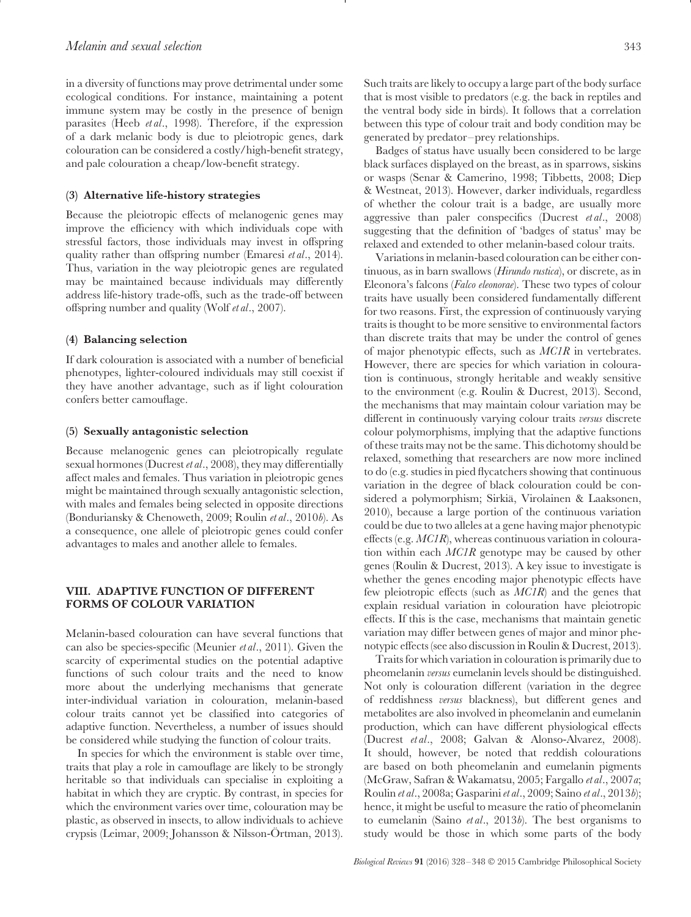in a diversity of functions may prove detrimental under some ecological conditions. For instance, maintaining a potent immune system may be costly in the presence of benign parasites (Heeb *et al*., 1998). Therefore, if the expression of a dark melanic body is due to pleiotropic genes, dark colouration can be considered a costly/high-benefit strategy, and pale colouration a cheap/low-benefit strategy.

#### **(3) Alternative life-history strategies**

Because the pleiotropic effects of melanogenic genes may improve the efficiency with which individuals cope with stressful factors, those individuals may invest in offspring quality rather than offspring number (Emaresi *et al*., 2014). Thus, variation in the way pleiotropic genes are regulated may be maintained because individuals may differently address life-history trade-offs, such as the trade-off between offspring number and quality (Wolf *et al*., 2007).

#### **(4) Balancing selection**

If dark colouration is associated with a number of beneficial phenotypes, lighter-coloured individuals may still coexist if they have another advantage, such as if light colouration confers better camouflage.

#### **(5) Sexually antagonistic selection**

Because melanogenic genes can pleiotropically regulate sexual hormones (Ducrest *et al*., 2008), they may differentially affect males and females. Thus variation in pleiotropic genes might be maintained through sexually antagonistic selection, with males and females being selected in opposite directions (Bonduriansky & Chenoweth, 2009; Roulin *et al*., 2010*b*). As a consequence, one allele of pleiotropic genes could confer advantages to males and another allele to females.

# **VIII. ADAPTIVE FUNCTION OF DIFFERENT FORMS OF COLOUR VARIATION**

Melanin-based colouration can have several functions that can also be species-specific (Meunier *et al*., 2011). Given the scarcity of experimental studies on the potential adaptive functions of such colour traits and the need to know more about the underlying mechanisms that generate inter-individual variation in colouration, melanin-based colour traits cannot yet be classified into categories of adaptive function. Nevertheless, a number of issues should be considered while studying the function of colour traits.

In species for which the environment is stable over time, traits that play a role in camouflage are likely to be strongly heritable so that individuals can specialise in exploiting a habitat in which they are cryptic. By contrast, in species for which the environment varies over time, colouration may be plastic, as observed in insects, to allow individuals to achieve crypsis (Leimar, 2009; Johansson & Nilsson-Ortman, 2013). ¨ Such traits are likely to occupy a large part of the body surface that is most visible to predators (e.g. the back in reptiles and the ventral body side in birds). It follows that a correlation between this type of colour trait and body condition may be generated by predator–prey relationships.

Badges of status have usually been considered to be large black surfaces displayed on the breast, as in sparrows, siskins or wasps (Senar & Camerino, 1998; Tibbetts, 2008; Diep & Westneat, 2013). However, darker individuals, regardless of whether the colour trait is a badge, are usually more aggressive than paler conspecifics (Ducrest *et al*., 2008) suggesting that the definition of 'badges of status' may be relaxed and extended to other melanin-based colour traits.

Variations in melanin-based colouration can be either continuous, as in barn swallows (*Hirundo rustica*), or discrete, as in Eleonora's falcons (*Falco eleonorae*). These two types of colour traits have usually been considered fundamentally different for two reasons. First, the expression of continuously varying traits is thought to be more sensitive to environmental factors than discrete traits that may be under the control of genes of major phenotypic effects, such as *MC1R* in vertebrates. However, there are species for which variation in colouration is continuous, strongly heritable and weakly sensitive to the environment (e.g. Roulin & Ducrest, 2013). Second, the mechanisms that may maintain colour variation may be different in continuously varying colour traits *versus* discrete colour polymorphisms, implying that the adaptive functions of these traits may not be the same. This dichotomy should be relaxed, something that researchers are now more inclined to do (e.g. studies in pied flycatchers showing that continuous variation in the degree of black colouration could be considered a polymorphism; Sirkiä, Virolainen & Laaksonen, 2010), because a large portion of the continuous variation could be due to two alleles at a gene having major phenotypic effects (e.g. *MC1R*), whereas continuous variation in colouration within each *MC1R* genotype may be caused by other genes (Roulin & Ducrest, 2013). A key issue to investigate is whether the genes encoding major phenotypic effects have few pleiotropic effects (such as *MC1R*) and the genes that explain residual variation in colouration have pleiotropic effects. If this is the case, mechanisms that maintain genetic variation may differ between genes of major and minor phenotypic effects (see also discussion in Roulin & Ducrest, 2013).

Traits for which variation in colouration is primarily due to pheomelanin *versus* eumelanin levels should be distinguished. Not only is colouration different (variation in the degree of reddishness *versus* blackness), but different genes and metabolites are also involved in pheomelanin and eumelanin production, which can have different physiological effects (Ducrest *et al*., 2008; Galvan & Alonso-Alvarez, 2008). It should, however, be noted that reddish colourations are based on both pheomelanin and eumelanin pigments (McGraw, Safran & Wakamatsu, 2005; Fargallo *et al*., 2007*a*; Roulin *et al*., 2008a; Gasparini *et al*., 2009; Saino *et al*., 2013*b*); hence, it might be useful to measure the ratio of pheomelanin to eumelanin (Saino *et al*., 2013*b*). The best organisms to study would be those in which some parts of the body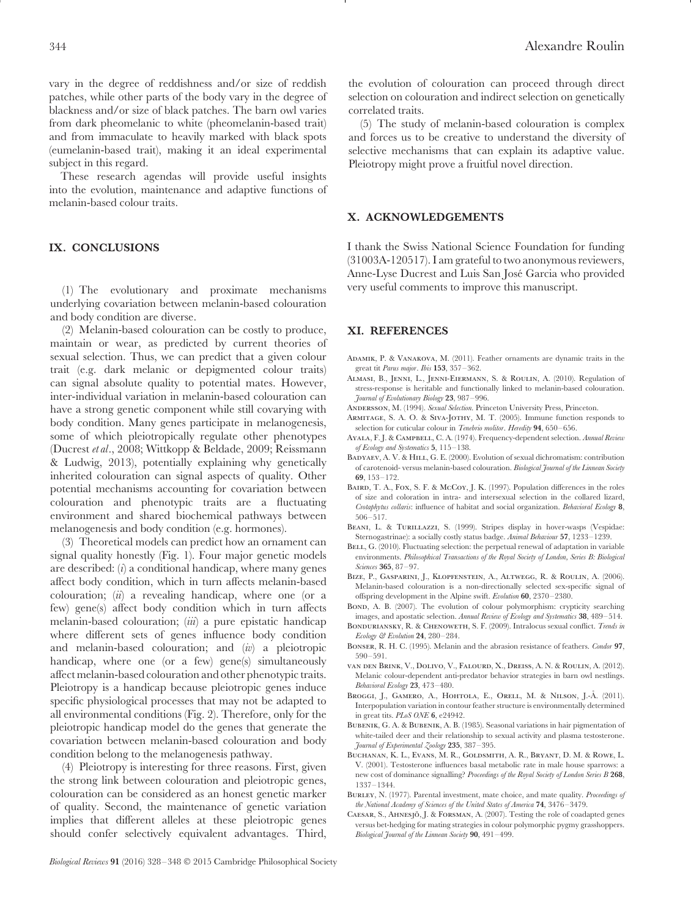vary in the degree of reddishness and/or size of reddish patches, while other parts of the body vary in the degree of blackness and/or size of black patches. The barn owl varies from dark pheomelanic to white (pheomelanin-based trait) and from immaculate to heavily marked with black spots (eumelanin-based trait), making it an ideal experimental subject in this regard.

These research agendas will provide useful insights into the evolution, maintenance and adaptive functions of melanin-based colour traits.

# **IX. CONCLUSIONS**

(1) The evolutionary and proximate mechanisms underlying covariation between melanin-based colouration and body condition are diverse.

(2) Melanin-based colouration can be costly to produce, maintain or wear, as predicted by current theories of sexual selection. Thus, we can predict that a given colour trait (e.g. dark melanic or depigmented colour traits) can signal absolute quality to potential mates. However, inter-individual variation in melanin-based colouration can have a strong genetic component while still covarying with body condition. Many genes participate in melanogenesis, some of which pleiotropically regulate other phenotypes (Ducrest *et al*., 2008; Wittkopp & Beldade, 2009; Reissmann & Ludwig, 2013), potentially explaining why genetically inherited colouration can signal aspects of quality. Other potential mechanisms accounting for covariation between colouration and phenotypic traits are a fluctuating environment and shared biochemical pathways between melanogenesis and body condition (e.g. hormones).

(3) Theoretical models can predict how an ornament can signal quality honestly (Fig. 1). Four major genetic models are described: (*i*) a conditional handicap, where many genes affect body condition, which in turn affects melanin-based colouration; (*ii*) a revealing handicap, where one (or a few) gene(s) affect body condition which in turn affects melanin-based colouration; (*iii*) a pure epistatic handicap where different sets of genes influence body condition and melanin-based colouration; and (*iv*) a pleiotropic handicap, where one (or a few) gene(s) simultaneously affect melanin-based colouration and other phenotypic traits. Pleiotropy is a handicap because pleiotropic genes induce specific physiological processes that may not be adapted to all environmental conditions (Fig. 2). Therefore, only for the pleiotropic handicap model do the genes that generate the covariation between melanin-based colouration and body condition belong to the melanogenesis pathway.

(4) Pleiotropy is interesting for three reasons. First, given the strong link between colouration and pleiotropic genes, colouration can be considered as an honest genetic marker of quality. Second, the maintenance of genetic variation implies that different alleles at these pleiotropic genes should confer selectively equivalent advantages. Third, the evolution of colouration can proceed through direct selection on colouration and indirect selection on genetically correlated traits.

(5) The study of melanin-based colouration is complex and forces us to be creative to understand the diversity of selective mechanisms that can explain its adaptive value. Pleiotropy might prove a fruitful novel direction.

#### **X. ACKNOWLEDGEMENTS**

I thank the Swiss National Science Foundation for funding (31003A-120517). I am grateful to two anonymous reviewers, Anne-Lyse Ducrest and Luis San José Garcia who provided very useful comments to improve this manuscript.

#### **XI. REFERENCES**

- Adamik, P. & Vanakova, M. (2011). Feather ornaments are dynamic traits in the great tit *Parus major*. *Ibis* **153**, 357–362.
- Almasi, B., Jenni, L., Jenni-Eiermann, S. & Roulin, A. (2010). Regulation of stress-response is heritable and functionally linked to melanin-based colouration. *Journal of Evolutionary Biology* **23**, 987–996.
- Andersson, M. (1994). *Sexual Selection*. Princeton University Press, Princeton.
- ARMITAGE, S. A. O. & SIVA-JOTHY, M. T. (2005). Immune function responds to selection for cuticular colour in *Tenebrio molitor*. *Heredity* **94**, 650–656.
- Ayala, F. J. & Campbell, C. A. (1974). Frequency-dependent selection. *Annual Review of Ecology and Systematics* **5**, 115–138.
- Badyaev, A. V. & Hill, G. E. (2000). Evolution of sexual dichromatism: contribution of carotenoid- versus melanin-based colouration. *Biological Journal of the Linnean Society* **69**, 153–172.
- Baird, T. A., Fox, S. F. & McCoy, J. K. (1997). Population differences in the roles of size and coloration in intra- and intersexual selection in the collared lizard, *Crotaphytus collaris*: influence of habitat and social organization. *Behavioral Ecology* **8**, 506–517.
- BEANI, L. & TURILLAZZI, S. (1999). Stripes display in hover-wasps (Vespidae: Sternogastrinae): a socially costly status badge. *Animal Behaviour* **57**, 1233–1239.
- BELL, G. (2010). Fluctuating selection: the perpetual renewal of adaptation in variable environments. *Philosophical Transactions of the Royal Society of London, Series B: Biological Sciences* **365**, 87–97.
- Bize, P., Gasparini, J., Klopfenstein, A., Altwegg, R. & Roulin, A. (2006). Melanin-based colouration is a non-directionally selected sex-specific signal of offspring development in the Alpine swift. *Evolution* **60**, 2370–2380.
- BOND, A. B. (2007). The evolution of colour polymorphism: crypticity searching images, and apostatic selection. *Annual Review of Ecology and Systematics* **38**, 489–514.
- Bonduriansky, R. & Chenoweth, S. F. (2009). Intralocus sexual conflict. *Trends in Ecology & Evolution* **24**, 280–284.
- Bonser, R. H. C. (1995). Melanin and the abrasion resistance of feathers. *Condor* **97**, 590–591.
- van den Brink, V., Dolivo, V., Falourd, X., Dreiss, A. N. & Roulin, A. (2012). Melanic colour-dependent anti-predator behavior strategies in barn owl nestlings. *Behavioral Ecology* **23**, 473–480.
- Broggi, J., Gamero, A., Hohtola, E., Orell, M. & Nilson, J.-Å. (2011). Interpopulation variation in contour feather structure is environmentally determined in great tits. *PLoS ONE* **6**, e24942.
- Bubenik, G. A. & Bubenik, A. B. (1985). Seasonal variations in hair pigmentation of white-tailed deer and their relationship to sexual activity and plasma testosterone. *Journal of Experimental Zoology* **235**, 387–395.
- Buchanan, K. L., Evans, M. R., Goldsmith, A. R., Bryant, D. M. & Rowe, L. V. (2001). Testosterone influences basal metabolic rate in male house sparrows: a new cost of dominance signalling? *Proceedings of the Royal Society of London Series B* **268**, 1337–1344.
- Burley, N. (1977). Parental investment, mate choice, and mate quality. *Proceedings of the National Academy of Sciences of the United States of America* **74**, 3476–3479.
- CAESAR, S., AHNESJÖ, J. & FORSMAN, A. (2007). Testing the role of coadapted genes versus bet-hedging for mating strategies in colour polymorphic pygmy grasshoppers. *Biological Journal of the Linnean Society* **90**, 491–499.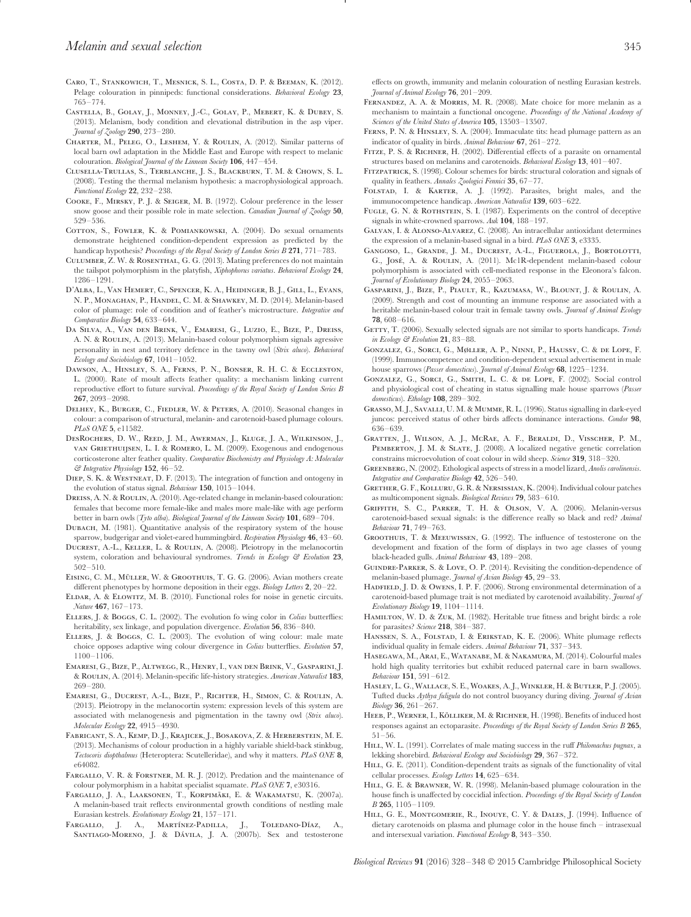- Caro, T., Stankowich, T., Mesnick, S. L., Costa, D. P. & Beeman, K. (2012). Pelage colouration in pinnipeds: functional considerations. *Behavioral Ecology* **23**, 765–774.
- Castella, B., Golay, J., Monney, J.-C., Golay, P., Mebert, K. & Dubey, S. (2013). Melanism, body condition and elevational distribution in the asp viper. *Journal of Zoology* **290**, 273–280.
- Charter, M., Peleg, O., Leshem, Y. & Roulin, A. (2012). Similar patterns of local barn owl adaptation in the Middle East and Europe with respect to melanic colouration. *Biological Journal of the Linnean Society* **106**, 447–454.
- Clusella-Trullas, S., Terblanche, J. S., Blackburn, T. M. & Chown, S. L. (2008). Testing the thermal melanism hypothesis: a macrophysiological approach. *Functional Ecology* **22**, 232–238.
- COOKE, F., MIRSKY, P. J. & SEIGER, M. B. (1972). Colour preference in the lesser snow goose and their possible role in mate selection. *Canadian Journal of Zoology* **50**, 529–536.
- COTTON, S., FOWLER, K. & POMIANKOWSKI, A. (2004). Do sexual ornaments demonstrate heightened condition-dependent expression as predicted by the handicap hypothesis? *Proceedings of the Royal Society of London Series B* **271**, 771–783.
- Culumber, Z. W. & Rosenthal, G. G. (2013). Mating preferences do not maintain the tailspot polymorphism in the platyfish, *Xiphophorus variatus*. *Behavioral Ecology* **24**, 1286–1291.
- D'Alba, L., Van Hemert, C., Spencer, K. A., Heidinger, B. J., Gill, L., Evans, N. P., Monaghan, P., Handel, C. M. & Shawkey, M. D. (2014). Melanin-based color of plumage: role of condition and of feather's microstructure. *Integrative and Comparative Biology* **54**, 633–644.
- Da Silva, A., Van den Brink, V., Emaresi, G., Luzio, E., Bize, P., Dreiss, A. N. & ROULIN, A. (2013). Melanin-based colour polymorphism signals agressive personality in nest and territory defence in the tawny owl (*Strix aluco*). *Behavioral Ecology and Sociobiology* **67**, 1041–1052.
- Dawson, A., Hinsley, S. A., Ferns, P. N., Bonser, R. H. C. & Eccleston, L. (2000). Rate of moult affects feather quality: a mechanism linking current reproductive effort to future survival. *Proceedings of the Royal Society of London Series B* **267**, 2093–2098.
- Delhey, K., Burger, C., Fiedler, W. & Peters, A. (2010). Seasonal changes in colour: a comparison of structural, melanin- and carotenoid-based plumage colours. *PLoS ONE* **5**, e11582.
- DesRochers, D. W., Reed, J. M., Awerman, J., Kluge, J. A., Wilkinson, J., van Griethuijsen, L. I. & Romero, L. M. (2009). Exogenous and endogenous corticosterone alter feather quality. *Comparative Biochemistry and Physiology A: Molecular & Integrative Physiology* **152**, 46–52.
- Diep, S. K. & Westneat, D. F. (2013). The integration of function and ontogeny in the evolution of status signal. *Behaviour* **150**, 1015–1044.
- DREISS, A. N. & ROULIN, A. (2010). Age-related change in melanin-based colouration: females that become more female-like and males more male-like with age perform better in barn owls (*Tyto alba*). *Biological Journal of the Linnean Society* **101**, 689–704.
- DUBACH, M. (1981). Quantitative analysis of the respiratory system of the house sparrow, budgerigar and violet-eared hummingbird. *Respiration Physiology* **46**, 43–60.
- DUCREST, A.-L., KELLER, L. & ROULIN, A. (2008). Pleiotropy in the melanocortin system, coloration and behavioural syndromes. *Trends in Ecology & Evolution* **23**, 502–510.
- EISING, C. M., MÜLLER, W. & GROOTHUIS, T. G. G. (2006). Avian mothers create different phenotypes by hormone deposition in their eggs. *Biology Letters* **2**, 20–22.
- Eldar, A. & Elowitz, M. B. (2010). Functional roles for noise in genetic circuits. *Nature* **467**, 167–173.
- Ellers, J. & Boggs, C. L. (2002). The evolution fo wing color in *Colias* butterflies: heritability, sex linkage, and population divergence. *Evolution* **56**, 836–840.
- ELLERS, J. & BOGGS, C. L. (2003). The evolution of wing colour: male mate choice opposes adaptive wing colour divergence in *Colias* butterflies. *Evolution* **57**, 1100–1106.
- Emaresi, G., Bize, P., Altwegg, R., Henry, I., van den Brink, V., Gasparini, J. & Roulin, A. (2014). Melanin-specific life-history strategies. *American Naturalist* **183**, 269–280.
- Emaresi, G., Ducrest, A.-L., Bize, P., Richter, H., Simon, C. & Roulin, A. (2013). Pleiotropy in the melanocortin system: expression levels of this system are associated with melanogenesis and pigmentation in the tawny owl (*Strix aluco*). *Molecular Ecology* **22**, 4915–4930.
- Fabricant, S. A., Kemp, D. J., Krajicek, J., Bosakova, Z. & Herberstein, M. E. (2013). Mechanisms of colour production in a highly variable shield-back stinkbug, *Tectocoris diopthalmus* (Heteroptera: Scutelleridae), and why it matters. *PLoS ONE* **8**, e64082.
- Fargallo, V. R. & Forstner, M. R. J. (2012). Predation and the maintenance of colour polymorphism in a habitat specialist squamate. *PLoS ONE* **7**, e30316.
- FARGALLO, J. A., LAAKSONEN, T., KORPIMÄKI, E. & WAKAMATSU, K. (2007a). A melanin-based trait reflects environmental growth conditions of nestling male Eurasian kestrels. *Evolutionary Ecology* **21**, 157–171.
- Fargallo, J. A., Martínez-Padilla, J., Toledano-Díaz, A., SANTIAGO-MORENO, J. & DÁVILA, J. A. (2007b). Sex and testosterone

effects on growth, immunity and melanin colouration of nestling Eurasian kestrels. *Journal of Animal Ecology* **76**, 201–209.

- Fernandez, A. A. & Morris, M. R. (2008). Mate choice for more melanin as a mechanism to maintain a functional oncogene. *Proceedings of the National Academy of Sciences of the United States of America* **105**, 13503–13507.
- Ferns, P. N. & Hinsley, S. A. (2004). Immaculate tits: head plumage pattern as an indicator of quality in birds. *Animal Behaviour* **67**, 261–272.
- Fitze, P. S. & Richner, H. (2002). Differential effects of a parasite on ornamental structures based on melanins and carotenoids. *Behavioral Ecology* **13**, 401–407.
- Fitzpatrick, S. (1998). Colour schemes for birds: structural coloration and signals of quality in feathers. *Annales Zoologici Fennici* **35**, 67–77.
- Folstad, I. & Karter, A. J. (1992). Parasites, bright males, and the immunocompetence handicap. *American Naturalist* **139**, 603–622.
- FUGLE, G. N. & ROTHSTEIN, S. I. (1987). Experiments on the control of deceptive signals in white-crowned sparrows. *Auk* **104**, 188–197.
- Galvan, I. & Alonso-Alvarez, C. (2008). An intracellular antioxidant determines the expression of a melanin-based signal in a bird. *PLoS ONE* **3**, e3335.
- Gangoso, L., Grande, J. M., Ducrest, A.-L., Figuerola, J., Bortolotti, G., José, A. & Roulin, A. (2011). Mc1R-dependent melanin-based colour polymorphism is associated with cell-mediated response in the Eleonora's falcon. *Journal of Evolutionary Biology* **24**, 2055–2063.
- Gasparini, J., Bize, P., Piault, R., Kazumasa, W., Blount, J. & Roulin, A. (2009). Strength and cost of mounting an immune response are associated with a heritable melanin-based colour trait in female tawny owls. *Journal of Animal Ecology* **78**, 608–616.
- GETTY, T. (2006). Sexually selected signals are not similar to sports handicaps. Trends *in Ecology & Evolution* **21**, 83–88.
- Gonzalez, G., Sorci, G., Møller, A. P., Ninni, P., Haussy, C. & de Lope, F. (1999). Immunocompetence and condition-dependent sexual advertisement in male house sparrows (*Passer domesticus*). *Journal of Animal Ecology* **68**, 1225–1234.
- Gonzalez, G., Sorci, G., Smith, L. C. & de Lope, F. (2002). Social control and physiological cost of cheating in status signalling male house sparrows (*Passer domesticus*). *Ethology* **108**, 289–302.
- Grasso, M. J., Savalli, U. M. & Mumme, R. L. (1996). Status signalling in dark-eyed juncos: perceived status of other birds affects dominance interactions. *Condor* **98**, 636–639.
- Gratten, J., Wilson, A. J., McRae, A. F., Beraldi, D., Visscher, P. M., PEMBERTON, J. M. & SLATE, J. (2008). A localized negative genetic correlation constrains microevolution of coat colour in wild sheep. *Science* **319**, 318–320.
- Greenberg, N. (2002). Ethological aspects of stress in a model lizard, *Anolis carolinensis*. *Integrative and Comparative Biology* **42**, 526–540.
- Grether, G. F., Kolluru, G. R. & Nersissian, K. (2004). Individual colour patches as multicomponent signals. *Biological Reviews* **79**, 583–610.
- Griffith, S. C., Parker, T. H. & Olson, V. A. (2006). Melanin-versus carotenoid-based sexual signals: is the difference really so black and red? *Animal Behaviour* **71**, 749–763.
- Groothuis, T. & Meeuwissen, G. (1992). The influence of testosterone on the development and fixation of the form of displays in two age classes of young black-headed gulls. *Animal Behaviour* **43**, 189–208.
- Guindre-Parker, S. & Love, O. P. (2014). Revisiting the condition-dependence of melanin-based plumage. *Journal of Avian Biology* **45**, 29–33.
- HADFIELD, J. D. & OWENS, I. P. F. (2006). Strong environmental determination of a carotenoid-based plumage trait is not mediated by carotenoid availability. *Journal of Evolutionary Biology* **19**, 1104–1114.
- Hamilton, W. D. & Zuk, M. (1982). Heritable true fitness and bright birds: a role for parasites? *Science* **218**, 384–387.
- HANSSEN, S. A., FOLSTAD, I. & ERIKSTAD, K. E. (2006). White plumage reflects individual quality in female eiders. *Animal Behaviour* **71**, 337–343.
- Hasegawa, M., Arai, E., Watanabe, M. & Nakamura, M. (2014). Colourful males hold high quality territories but exhibit reduced paternal care in barn swallows. *Behaviour* **151**, 591–612.
- Hasley, L. G., Wallace, S. E., Woakes, A. J., Winkler, H. & Butler, P. J. (2005). Tufted ducks *Aythya fuligula* do not control buoyancy during diving. *Journal of Avian Biology* **36**, 261–267.
- HEEB, P., WERNER, I., KÖLLIKER, M. & RICHNER, H. (1998). Benefits of induced host responses against an ectoparasite. *Proceedings of the Royal Society of London Series B* **265**, 51–56.
- HILL, W. L. (1991). Correlates of male mating success in the ruff *Philomachus pugnax*, a lekking shorebird. *Behavioral Ecology and Sociobiology* **29**, 367–372.
- HILL, G. E. (2011). Condition-dependent traits as signals of the functionality of vital cellular processes. *Ecology Letters* **14**, 625–634.
- HILL, G. E. & BRAWNER, W. R. (1998). Melanin-based plumage colouration in the house finch is unaffected by coccidial infection. *Proceedings of the Royal Society of London B* **265**, 1105–1109.
- HILL, G. E., MONTGOMERIE, R., INOUYE, C. Y. & DALES, J. (1994). Influence of dietary carotenoids on plasma and plumage color in the house finch – intrasexual and intersexual variation. *Functional Ecology* **8**, 343–350.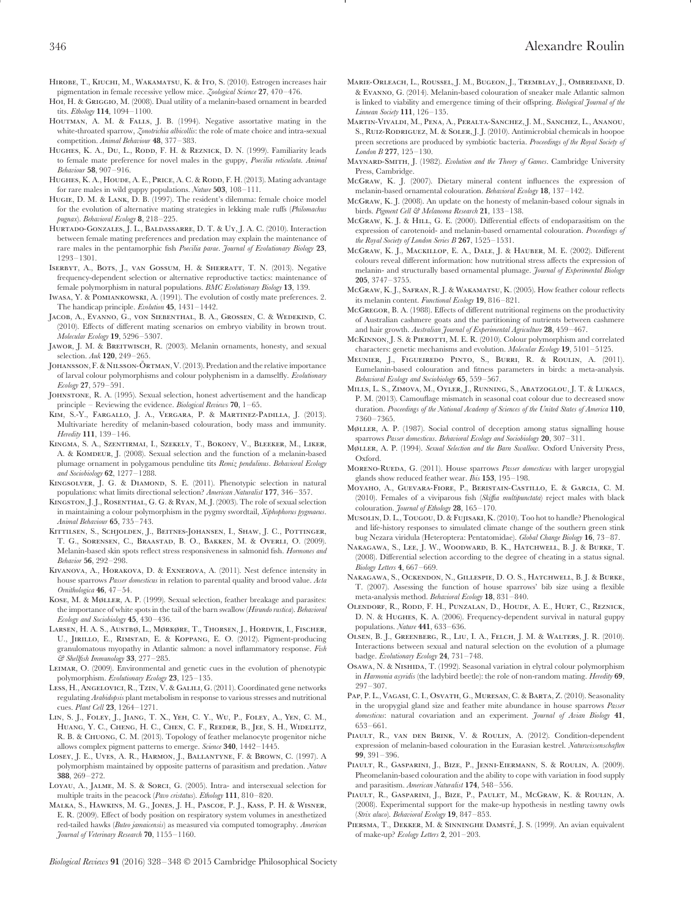HIROBE, T., KIUCHI, M., WAKAMATSU, K. & ITO, S. (2010). Estrogen increases hair pigmentation in female recessive yellow mice. *Zoological Science* **27**, 470–476.

- Hoi, H. & GRIGGIO, M. (2008). Dual utility of a melanin-based ornament in bearded tits. *Ethology* **114**, 1094–1100.
- Houtman, A. M. & Falls, J. B. (1994). Negative assortative mating in the white-throated sparrow, *Zonotrichia albicollis*: the role of mate choice and intra-sexual competition. *Animal Behaviour* **48**, 377–383.
- HUGHES, K. A., DU, L., RODD, F. H. & REZNICK, D. N. (1999). Familiarity leads to female mate preference for novel males in the guppy, *Poecilia reticulata*. *Animal Behaviour* **58**, 907–916.
- HUGHES, K. A., HOUDE, A. E., PRICE, A. C. & RODD, F. H. (2013). Mating advantage for rare males in wild guppy populations. *Nature* **503**, 108–111.
- Hugie, D. M. & Lank, D. B. (1997). The resident's dilemma: female choice model for the evolution of alternative mating strategies in lekking male ruffs (*Philomachus pugnax*). *Behavioral Ecology* **8**, 218–225.
- HURTADO-GONZALES, J. L., BALDASSARRE, D. T. & UY, J. A. C. (2010). Interaction between female mating preferences and predation may explain the maintenance of rare males in the pentamorphic fish *Poecilia parae*. *Journal of Evolutionary Biology* **23**, 1293–1301.
- Iserbyt, A., Bots, J., van Gossum, H. & Sherratt, T. N. (2013). Negative frequency-dependent selection or alternative reproductive tactics: maintenance of female polymorphism in natural populations. *BMC Evolutionary Biology* **13**, 139.
- Iwasa, Y. & Pomiankowski, A. (1991). The evolution of costly mate preferences. 2. The handicap principle. *Evolution* **45**, 1431–1442.
- Jacob, A., Evanno, G., von Siebenthal, B. A., Grossen, C. & Wedekind, C. (2010). Effects of different mating scenarios on embryo viability in brown trout. *Molecular Ecology* **19**, 5296–5307.
- JAWOR, J. M. & BREITWISCH, R. (2003). Melanin ornaments, honesty, and sexual selection. *Auk* **120**, 249–265.
- JOHANSSON, F. & NILSSON-ÖRTMAN, V. (2013). Predation and the relative importance of larval colour polymorphisms and colour polyphenism in a damselfly. *Evolutionary Ecology* **27**, 579–591.
- JOHNSTONE, R. A. (1995). Sexual selection, honest advertisement and the handicap principle – Reviewing the evidence. *Biological Reviews* **70**, 1–65.
- Kim, S.-Y., Fargallo, J. A., Vergara, P. & Martinez-Padilla, J. (2013). Multivariate heredity of melanin-based colouration, body mass and immunity. *Heredity* **111**, 139–146.
- Kingma, S. A., Szentirmai, I., Szekely, T., Bokony, V., Bleeker, M., Liker, A. & KOMDEUR, J. (2008). Sexual selection and the function of a melanin-based plumage ornament in polygamous penduline tits *Remiz pendulinus*. *Behavioral Ecology and Sociobiology* **62**, 1277–1288.
- KINGSOLVER, J. G. & DIAMOND, S. E. (2011). Phenotypic selection in natural populations: what limits directional selection? *American Naturalist* **177**, 346–357.
- Kingston, J. J., Rosenthal, G. G. & Ryan, M. J. (2003). The role of sexual selection in maintaining a colour polymorphism in the pygmy swordtail, *Xiphophorus pygmaeus*. *Animal Behaviour* **65**, 735–743.
- Kittilsen, S., Schjolden, J., Beitnes-Johansen, I., Shaw, J. C., Pottinger, T. G., Sorensen, C., Braastad, B. O., Bakken, M. & Overli, O. (2009). Melanin-based skin spots reflect stress responsiveness in salmonid fish. *Hormones and Behavior* **56**, 292–298.
- Kivanova, A., Horakova, D. & Exnerova, A. (2011). Nest defence intensity in house sparrows *Passer domesticus* in relation to parental quality and brood value. *Acta Ornithologica* **46**, 47–54.
- KOSE, M. & MØLLER, A. P. (1999). Sexual selection, feather breakage and parasites: the importance of white spots in the tail of the barn swallow (*Hirundo rustica*). *Behavioral Ecology and Sociobiology* **45**, 430–436.
- LARSEN, H. A. S., AUSTBØ, L., MØRKØRE, T., THORSEN, J., HORDVIK, I., FISCHER, U., JIRILLO, E., RIMSTAD, E. & KOPPANG, E. O. (2012). Pigment-producing granulomatous myopathy in Atlantic salmon: a novel inflammatory response. *Fish & Shellfish Immunology* **33**, 277–285.
- Leimar, O. (2009). Environmental and genetic cues in the evolution of phenotypic polymorphism. *Evolutionary Ecology* **23**, 125–135.
- Less, H., Angelovici, R., Tzin, V. & Galili, G. (2011). Coordinated gene networks regulating *Arabidopsis* plant metabolism in response to various stresses and nutritional cues. *Plant Cell* **23**, 1264–1271.
- Lin, S. J., Foley, J., Jiang, T. X., Yeh, C. Y., Wu, P., Foley, A., Yen, C. M., Huang, Y. C., Cheng, H. C., Chen, C. F., Reeder, B., Jee, S. H., Widelitz, R. B. & Chuong, C. M. (2013). Topology of feather melanocyte progenitor niche allows complex pigment patterns to emerge. *Science* **340**, 1442–1445.
- Losey, J. E., Uves, A. R., Harmon, J., Ballantyne, F. & Brown, C. (1997). A polymorphism maintained by opposite patterns of parasitism and predation. *Nature* **388**, 269–272.
- Loyau, A., Jalme, M. S. & Sorci, G. (2005). Intra- and intersexual selection for multiple traits in the peacock (*Pavo cristatus*). *Ethology* **111**, 810–820.
- Malka, S., Hawkins, M. G., Jones, J. H., Pascoe, P. J., Kass, P. H. & Wisner, E. R. (2009). Effect of body position on respiratory system volumes in anesthetized red-tailed hawks (*Buteo jamaicensis*) as measured via computed tomography. *American Journal of Veterinary Research* **70**, 1155–1160.
- Marie-Orleach, L., Roussel, J. M., Bugeon, J., Tremblay, J., Ombredane, D. & Evanno, G. (2014). Melanin-based colouration of sneaker male Atlantic salmon is linked to viability and emergence timing of their offspring. *Biological Journal of the Linnean Society* **111**, 126–135.
- Martin-Vivaldi, M., Pena, A., Peralta-Sanchez, J. M., Sanchez, L., Ananou, S., RUIZ-RODRIGUEZ, M. & SOLER, J. J. (2010). Antimicrobial chemicals in hoopoe preen secretions are produced by symbiotic bacteria. *Proceedings of the Royal Society of London B* **277**, 125–130.
- Maynard-Smith, J. (1982). *Evolution and the Theory of Games*. Cambridge University Press, Cambridge.
- McGraw, K. J. (2007). Dietary mineral content influences the expression of melanin-based ornamental colouration. *Behavioral Ecology* **18**, 137–142.
- McGraw, K. J. (2008). An update on the honesty of melanin-based colour signals in birds. *Pigment Cell & Melanoma Research* **21**, 133–138.
- McGraw, K. J. & Hill, G. E. (2000). Differential effects of endoparasitism on the expression of carotenoid- and melanin-based ornamental colouration. *Proceedings of the Royal Society of London Series B* **267**, 1525–1531.
- McGraw, K. J., Mackillop, E. A., Dale, J. & Hauber, M. E. (2002). Different colours reveal different information: how nutritional stress affects the expression of melanin- and structurally based ornamental plumage. *Journal of Experimental Biology* **205**, 3747–3755.
- McGraw, K. J., Safran, R. J. & Wakamatsu, K. (2005). How feather colour reflects its melanin content. *Functional Ecology* **19**, 816–821.
- McGregor, B. A. (1988). Effects of different nutritional regimens on the productivity of Australian cashmere goats and the partitioning of nutrients between cashmere and hair growth. *Australian Journal of Experimental Agriculture* **28**, 459–467.
- McKINNON, J. S. & PIEROTTI, M. E. R. (2010). Colour polymorphism and correlated characters: genetic mechanisms and evolution. *Molecular Ecology* **19**, 5101–5125.
- Meunier, J., Figueiredo Pinto, S., Burri, R. & Roulin, A. (2011). Eumelanin-based colouration and fitness parameters in birds: a meta-analysis. *Behavioral Ecology and Sociobiology* **65**, 559–567.
- Mills, L. S., Zimova, M., Oyler, J., Running, S., Abatzoglou, J. T. & Lukacs, P. M. (2013). Camouflage mismatch in seasonal coat colour due to decreased snow duration. *Proceedings of the National Academy of Sciences of the United States of America* **110**, 7360–7365.
- Møller, A. P. (1987). Social control of deception among status signalling house sparrows *Passer domesticus*. *Behavioral Ecology and Sociobiology* **20**, 307–311.
- Møller, A. P. (1994). *Sexual Selection and the Barn Swallow*. Oxford University Press, Oxford.
- Moreno-Rueda, G. (2011). House sparrows *Passer domesticus* with larger uropygial glands show reduced feather wear. *Ibis* **153**, 195–198.
- Moyaho, A., Guevara-Fiore, P., Beristain-Castillo, E. & Garcia, C. M. (2010). Females of a viviparous fish (*Skiffia multipunctata*) reject males with black colouration. *Journal of Ethology* **28**, 165–170.
- Musolin, D. L., Tougou, D. & Fujisaki, K. (2010). Too hot to handle? Phenological and life-history responses to simulated climate change of the southern green stink bug Nezara viridula (Heteroptera: Pentatomidae). *Global Change Biology* **16**, 73–87.
- Nakagawa, S., Lee, J. W., Woodward, B. K., Hatchwell, B. J. & Burke, T. (2008). Differential selection according to the degree of cheating in a status signal. *Biology Letters* **4**, 667–669.
- Nakagawa, S., Ockendon, N., Gillespie, D. O. S., Hatchwell, B. J. & Burke, T. (2007). Assessing the function of house sparrows' bib size using a flexible meta-analysis method. *Behavioral Ecology* **18**, 831–840.
- Olendorf, R., Rodd, F. H., Punzalan, D., Houde, A. E., Hurt, C., Reznick, D. N. & Hughes, K. A. (2006). Frequency-dependent survival in natural guppy populations. *Nature* **441**, 633–636.
- Olsen, B. J., Greenberg, R., Liu, I. A., Felch, J. M. & Walters, J. R. (2010). Interactions between sexual and natural selection on the evolution of a plumage badge. *Evolutionary Ecology* **24**, 731–748.
- Osawa, N. & Nishida, T. (1992). Seasonal variation in elytral colour polymorphism in *Harmonia asyridis* (the ladybird beetle): the role of non-random mating. *Heredity* **69**, 297–307.
- PAP, P. L., VAGASI, C. I., OSVATH, G., MURESAN, C. & BARTA, Z. (2010). Seasonality in the uropygial gland size and feather mite abundance in house sparrows *Passer domesticus*: natural covariation and an experiment. *Journal of Avian Biology* **41**, 653–661.
- PIAULT, R., VAN DEN BRINK, V. & ROULIN, A. (2012). Condition-dependent expression of melanin-based colouration in the Eurasian kestrel. *Naturwissenschaften* **99**, 391–396.
- PIAULT, R., GASPARINI, J., BIZE, P., JENNI-EIERMANN, S. & ROULIN, A. (2009). Pheomelanin-based colouration and the ability to cope with variation in food supply and parasitism. *American Naturalist* **174**, 548–556.
- Piault, R., Gasparini, J., Bize, P., Paulet, M., McGraw, K. & Roulin, A. (2008). Experimental support for the make-up hypothesis in nestling tawny owls (*Strix aluco*). *Behavioral Ecology* **19**, 847–853.
- PIERSMA, T., DEKKER, M. & SINNINGHE DAMSTÉ, J. S. (1999). An avian equivalent of make-up? *Ecology Letters* **2**, 201–203.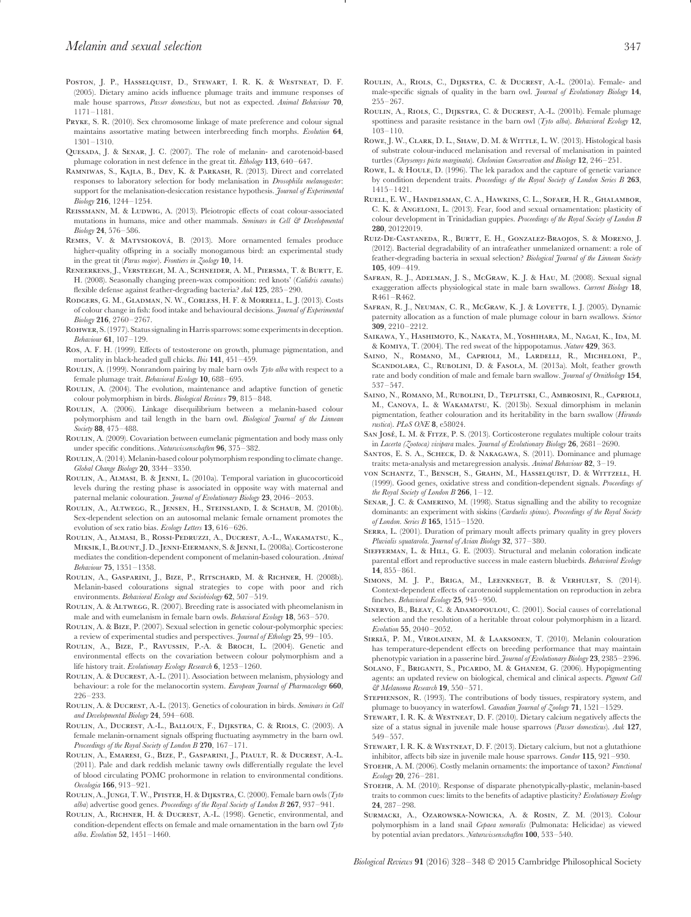- Poston, J. P., Hasselquist, D., Stewart, I. R. K. & Westneat, D. F. (2005). Dietary amino acids influence plumage traits and immune responses of male house sparrows, *Passer domesticus*, but not as expected. *Animal Behaviour* **70**, 1171–1181.
- PRYKE, S. R. (2010). Sex chromosome linkage of mate preference and colour signal maintains assortative mating between interbreeding finch morphs. *Evolution* **64**, 1301–1310.
- Quesada, J. & Senar, J. C. (2007). The role of melanin- and carotenoid-based plumage coloration in nest defence in the great tit. *Ethology* **113**, 640–647.
- Ramniwas, S., Kajla, B., Dev, K. & Parkash, R. (2013). Direct and correlated responses to laboratory selection for body melanisation in *Drosophila melanogaster*: support for the melanisation-desiccation resistance hypothesis. *Journal of Experimental Biology* **216**, 1244–1254.
- REISSMANN, M. & LUDWIG, A. (2013). Pleiotropic effects of coat colour-associated mutations in humans, mice and other mammals. *Seminars in Cell & Developmental Biology* **24**, 576–586.
- REMES, V. & MATYSIOKOVÁ, B. (2013). More ornamented females produce higher-quality offspring in a socially monogamous bird: an experimental study in the great tit (*Parus major*). *Frontiers in Zoology* **10**, 14.
- Reneerkens, J., Versteegh, M. A., Schneider, A. M., Piersma, T. & Burtt, E. H. (2008). Seasonally changing preen-wax composition: red knots' (*Calidris canutus*) flexible defense against feather-degrading bacteria? *Auk* **125**, 285–290.
- Rodgers, G. M., Gladman, N. W., Corless, H. F. & Morrell, L. J. (2013). Costs of colour change in fish: food intake and behavioural decisions. *Journal of Experimental Biology* **216**, 2760–2767.
- Rohwer, S. (1977). Status signaling in Harris sparrows: some experiments in deception. *Behaviour* **61**, 107–129.
- Ros, A. F. H. (1999). Effects of testosterone on growth, plumage pigmentation, and mortality in black-headed gull chicks. *Ibis* **141**, 451–459.
- ROULIN, A. (1999). Nonrandom pairing by male barn owls *Tyto alba* with respect to a female plumage trait. *Behavioral Ecology* **10**, 688–695.
- ROULIN, A. (2004). The evolution, maintenance and adaptive function of genetic colour polymorphism in birds. *Biological Reviews* **79**, 815–848.
- Roulin, A. (2006). Linkage disequilibrium between a melanin-based colour polymorphism and tail length in the barn owl. *Biological Journal of the Linnean Society* **88**, 475–488.
- ROULIN, A. (2009). Covariation between eumelanic pigmentation and body mass only under specific conditions. *Naturwissenschaften* **96**, 375–382.
- ROULIN, A. (2014). Melanin-based colour polymorphism responding to climate change. *Global Change Biology* **20**, 3344–3350.
- Roulin, A., Almasi, B. & Jenni, L. (2010a). Temporal variation in glucocorticoid levels during the resting phase is associated in opposite way with maternal and paternal melanic colouration. *Journal of Evolutionary Biology* **23**, 2046–2053.
- Roulin, A., Altwegg, R., Jensen, H., Steinsland, I. & Schaub, M. (2010b). Sex-dependent selection on an autosomal melanic female ornament promotes the evolution of sex ratio bias. *Ecology Letters* **13**, 616–626.
- Roulin, A., Almasi, B., Rossi-Pedruzzi, A., Ducrest, A.-L., Wakamatsu, K., MIKSIK, I., BLOUNT, J. D., JENNI-EIERMANN, S. & JENNI, L. (2008a). Corticosterone mediates the condition-dependent component of melanin-based colouration. *Animal Behaviour* **75**, 1351–1358.
- Roulin, A., Gasparini, J., Bize, P., Ritschard, M. & Richner, H. (2008b). Melanin-based colourations signal strategies to cope with poor and rich environments. *Behavioral Ecology and Sociobiology* **62**, 507–519.
- ROULIN, A. & ALTWEGG, R. (2007). Breeding rate is associated with pheomelanism in male and with eumelanism in female barn owls. *Behavioral Ecology* **18**, 563–570.
- ROULIN, A. & BIZE, P. (2007). Sexual selection in genetic colour-polymorphic species: a review of experimental studies and perspectives. *Journal of Ethology* **25**, 99–105.
- Roulin, A., Bize, P., Ravussin, P.-A. & Broch, L. (2004). Genetic and environmental effects on the covariation between colour polymorphism and a life history trait. *Evolutionary Ecology Research* **6**, 1253–1260.
- Roulin, A. & Ducrest, A.-L. (2011). Association between melanism, physiology and behaviour: a role for the melanocortin system. *European Journal of Pharmacology* **660**, 226–233.
- ROULIN, A. & DUCREST, A.-L. (2013). Genetics of colouration in birds. Seminars in Cell *and Developmental Biology* **24**, 594–608.
- Roulin, A., Ducrest, A.-L., Balloux, F., Dijkstra, C. & Riols, C. (2003). A female melanin-ornament signals offspring fluctuating asymmetry in the barn owl. *Proceedings of the Royal Society of London B* **270**, 167–171.
- Roulin, A., Emaresi, G., Bize, P., Gasparini, J., Piault, R. & Ducrest, A.-L. (2011). Pale and dark reddish melanic tawny owls differentially regulate the level of blood circulating POMC prohormone in relation to environmental conditions. *Oecologia* **166**, 913–921.
- Roulin, A., Jungi, T. W., Pfister, H. & Dijkstra, C. (2000). Female barn owls (*Tyto alba*) advertise good genes. *Proceedings of the Royal Society of London B* **267**, 937–941.
- Roulin, A., Richner, H. & Ducrest, A.-L. (1998). Genetic, environmental, and condition-dependent effects on female and male ornamentation in the barn owl *Tyto alba*. *Evolution* **52**, 1451–1460.
- ROULIN, A., RIOLS, C., DIJKSTRA, C. & DUCREST, A.-L. (2001a). Female- and male-specific signals of quality in the barn owl. *Journal of Evolutionary Biology* **14**,  $255 - 267$ .
- Roulin, A., Riols, C., Dijkstra, C. & Ducrest, A.-L. (2001b). Female plumage spottiness and parasite resistance in the barn owl (*Tyto alba*). *Behavioral Ecology* **12**, 103–110.
- ROWE, J. W., CLARK, D. L., SHAW, D. M. & WITTLE, L. W. (2013). Histological basis of substrate colour-induced melanisation and reversal of melanisation in painted turtles (*Chrysemys picta marginata*). *Chelonian Conservation and Biology* **12**, 246–251.
- ROWE, L. & HOULE, D. (1996). The lek paradox and the capture of genetic variance by condition dependent traits. *Proceedings of the Royal Society of London Series B* **263**, 1415–1421.
- Ruell, E. W., Handelsman, C. A., Hawkins, C. L., Sofaer, H. R., Ghalambor, C. K. & Angeloni, L. (2013). Fear, food and sexual ornamentation: plasticity of colour development in Trinidadian guppies. *Proceedings of the Royal Society of London B* **280**, 20122019.
- Ruiz-De-Castaneda, R., Burtt, E. H., Gonzalez-Braojos, S. & Moreno, J. (2012). Bacterial degradability of an intrafeather unmelanized ornament: a role of feather-degrading bacteria in sexual selection? *Biological Journal of the Linnean Society* **105**, 409–419.
- Safran, R. J., Adelman, J. S., McGraw, K. J. & Hau, M. (2008). Sexual signal exaggeration affects physiological state in male barn swallows. *Current Biology* **18**, R461–R462.
- SAFRAN, R. J., NEUMAN, C. R., McGRAW, K. J. & LOVETTE, I. J. (2005). Dynamic paternity allocation as a function of male plumage colour in barn swallows. *Science* **309**, 2210–2212.
- Saikawa, Y., Hashimoto, K., Nakata, M., Yoshihara, M., Nagai, K., Ida, M. & Komiya, T. (2004). The red sweat of the hippopotamus. *Nature* **429**, 363.
- Saino, N., Romano, M., Caprioli, M., Lardelli, R., Micheloni, P., Scandolara, C., Rubolini, D. & Fasola, M. (2013a). Molt, feather growth rate and body condition of male and female barn swallow. *Journal of Ornithology* **154**, 537–547.
- Saino, N., Romano, M., Rubolini, D., Teplitski, C., Ambrosini, R., Caprioli, M., Canova, L. & Wakamatsu, K. (2013b). Sexual dimorphism in melanin pigmentation, feather colouration and its heritability in the barn swallow (*Hirundo rustica*). *PLoS ONE* **8**, e58024.
- SAN JOSÉ, L. M. & FITZE, P. S. (2013). Corticosterone regulates multiple colour traits in *Lacerta (Zootoca) vivipara* males. *Journal of Evolutionary Biology* **26**, 2681–2690.
- SANTOS, E. S. A., SCHECK, D. & NAKAGAWA, S. (2011). Dominance and plumage traits: meta-analysis and metaregression analysis. *Animal Behaviour* **82**, 3–19.
- von Schantz, T., Bensch, S., Grahn, M., Hasselquist, D. & Wittzell, H. (1999). Good genes, oxidative stress and condition-dependent signals. *Proceedings of the Royal Society of London B* **266**, 1–12.
- Senar, J. C. & Camerino, M. (1998). Status signalling and the ability to recognize dominants: an experiment with siskins (*Carduelis spinus*). *Proceedings of the Royal Society of London. Series B* **165**, 1515–1520.
- Serra, L. (2001). Duration of primary moult affects primary quality in grey plovers *Pluvialis squatarola*. *Journal of Avian Biology* **32**, 377–380.
- SIEFFERMAN, L. & HILL, G. E. (2003). Structural and melanin coloration indicate parental effort and reproductive success in male eastern bluebirds. *Behavioral Ecology* **14**, 855–861.
- SIMONS, M. J. P., BRIGA, M., LEENKNEGT, B. & VERHULST, S. (2014). Context-dependent effects of carotenoid supplementation on reproduction in zebra finches. *Behavioral Ecology* **25**, 945–950.
- SINERVO, B., BLEAY, C. & ADAMOPOULOU, C. (2001). Social causes of correlational selection and the resolution of a heritable throat colour polymorphism in a lizard. *Evolution* **55**, 2040–2052.
- SIRKIÄ, P. M., VIROLAINEN, M. & LAAKSONEN, T. (2010). Melanin colouration has temperature-dependent effects on breeding performance that may maintain phenotypic variation in a passerine bird. *Journal of Evolutionary Biology* **23**, 2385–2396.
- Solano, F., Briganti, S., Picardo, M. & Ghanem, G. (2006). Hypopigmenting agents: an updated review on biological, chemical and clinical aspects. *Pigment Cell & Melanoma Research* **19**, 550–571.
- STEPHENSON, R. (1993). The contributions of body tissues, respiratory system, and plumage to buoyancy in waterfowl. *Canadian Journal of Zoology* **71**, 1521–1529.
- Stewart, I. R. K. & Westneat, D. F. (2010). Dietary calcium negatively affects the size of a status signal in juvenile male house sparrows (*Passer domesticus*). *Auk* **127**, 549–557.
- Stewart, I. R. K. & Westneat, D. F. (2013). Dietary calcium, but not a glutathione inhibitor, affects bib size in juvenile male house sparrows. *Condor* **115**, 921–930.
- STOEHR, A. M. (2006). Costly melanin ornaments: the importance of taxon? *Functional Ecology* **20**, 276–281.
- STOEHR, A. M. (2010). Response of disparate phenotypically-plastic, melanin-based traits to common cues: limits to the benefits of adaptive plasticity? *Evolutionary Ecology* **24**, 287–298.
- Surmacki, A., Ozarowska-Nowicka, A. & Rosin, Z. M. (2013). Colour polymorphism in a land snail *Cepaea nemoralis* (Pulmonata: Helicidae) as viewed by potential avian predators. *Naturwissenschaften* **100**, 533–540.